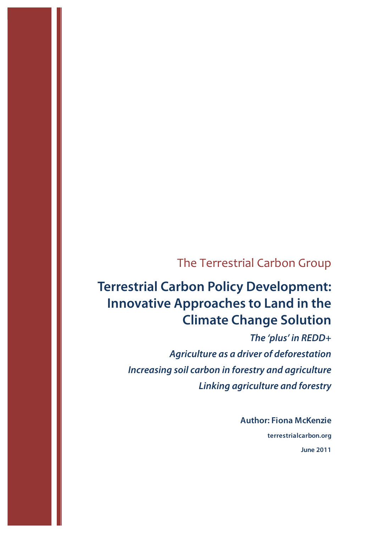## The Terrestrial Carbon Group

# **Terrestrial Carbon Policy Development: Innovative Approaches to Land in the Climate Change Solution**

*The 'plus' in REDD+ Agriculture as a driver of deforestation Increasing soil carbon in forestry and agriculture Linking agriculture and forestry*

> **Author: Fiona McKenzie terrestrialcarbon.org June 2011**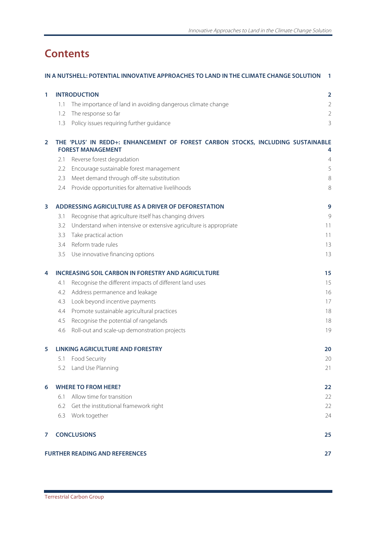## **Contents**

|                | IN A NUTSHELL: POTENTIAL INNOVATIVE APPROACHES TO LAND IN THE CLIMATE CHANGE SOLUTION<br>1                  |                                                                   |                         |  |
|----------------|-------------------------------------------------------------------------------------------------------------|-------------------------------------------------------------------|-------------------------|--|
| 1              |                                                                                                             | <b>INTRODUCTION</b>                                               | $\overline{\mathbf{2}}$ |  |
|                | 1.1                                                                                                         | The importance of land in avoiding dangerous climate change       | $\overline{2}$          |  |
|                | 1.2                                                                                                         | The response so far                                               | $\overline{2}$          |  |
|                | 1.3                                                                                                         | Policy issues requiring further guidance                          | 3                       |  |
| $\overline{2}$ | THE 'PLUS' IN REDD+: ENHANCEMENT OF FOREST CARBON STOCKS, INCLUDING SUSTAINABLE<br><b>FOREST MANAGEMENT</b> |                                                                   |                         |  |
|                | 2.1                                                                                                         | Reverse forest degradation                                        | $\overline{4}$          |  |
|                | 2.2                                                                                                         | Encourage sustainable forest management                           | 5                       |  |
|                | 2.3                                                                                                         | Meet demand through off-site substitution                         | 8                       |  |
|                | 2.4                                                                                                         | Provide opportunities for alternative livelihoods                 | 8                       |  |
| 3              | ADDRESSING AGRICULTURE AS A DRIVER OF DEFORESTATION                                                         |                                                                   |                         |  |
|                | 3.1                                                                                                         | Recognise that agriculture itself has changing drivers            | $\mathcal{G}$           |  |
|                | 3.2                                                                                                         | Understand when intensive or extensive agriculture is appropriate | 11                      |  |
|                | 3.3                                                                                                         | Take practical action                                             | 11                      |  |
|                | 3.4                                                                                                         | Reform trade rules                                                | 13                      |  |
|                | 3.5                                                                                                         | Use innovative financing options                                  | 13                      |  |
| 4              | <b>INCREASING SOIL CARBON IN FORESTRY AND AGRICULTURE</b><br>15                                             |                                                                   |                         |  |
|                | 4.1                                                                                                         | Recognise the different impacts of different land uses            | 15                      |  |
|                | 4.2                                                                                                         | Address permanence and leakage                                    | 16                      |  |
|                | 4.3                                                                                                         | Look beyond incentive payments                                    | 17                      |  |
|                | 4.4                                                                                                         | Promote sustainable agricultural practices                        | 18                      |  |
|                | 4.5                                                                                                         | Recognise the potential of rangelands                             | 18                      |  |
|                | 4.6                                                                                                         | Roll-out and scale-up demonstration projects                      | 19                      |  |
| 5              | <b>LINKING AGRICULTURE AND FORESTRY</b><br>20                                                               |                                                                   |                         |  |
|                | 5.1                                                                                                         | Food Security                                                     | 20                      |  |
|                | 5.2                                                                                                         | Land Use Planning                                                 | 21                      |  |
| 6              | <b>WHERE TO FROM HERE?</b>                                                                                  |                                                                   |                         |  |
|                | 6.1                                                                                                         | Allow time for transition                                         | 22                      |  |
|                | 6.2                                                                                                         | Get the institutional framework right                             | 22                      |  |
|                | 6.3                                                                                                         | Work together                                                     | 24                      |  |
| 7              |                                                                                                             | <b>CONCLUSIONS</b>                                                | 25                      |  |
|                |                                                                                                             | <b>FURTHER READING AND REFERENCES</b>                             | 27                      |  |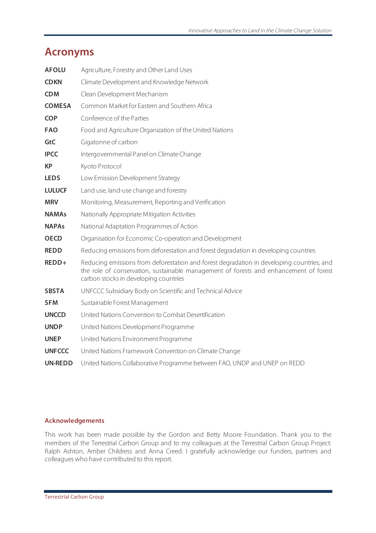## **Acronyms**

| <b>AFOLU</b>   | Agriculture, Forestry and Other Land Uses                                                                                                                                                                                   |
|----------------|-----------------------------------------------------------------------------------------------------------------------------------------------------------------------------------------------------------------------------|
| <b>CDKN</b>    | Climate Development and Knowledge Network                                                                                                                                                                                   |
| <b>CDM</b>     | Clean Development Mechanism                                                                                                                                                                                                 |
| <b>COMESA</b>  | Common Market for Eastern and Southern Africa                                                                                                                                                                               |
| <b>COP</b>     | Conference of the Parties                                                                                                                                                                                                   |
| <b>FAO</b>     | Food and Agriculture Organization of the United Nations                                                                                                                                                                     |
| GtC            | Gigatonne of carbon                                                                                                                                                                                                         |
| <b>IPCC</b>    | Intergovernmental Panel on Climate Change                                                                                                                                                                                   |
| <b>KP</b>      | Kyoto Protocol                                                                                                                                                                                                              |
| <b>LEDS</b>    | Low Emission Development Strategy                                                                                                                                                                                           |
| <b>LULUCF</b>  | Land use, land-use change and forestry                                                                                                                                                                                      |
| <b>MRV</b>     | Monitoring, Measurement, Reporting and Verification                                                                                                                                                                         |
| <b>NAMAs</b>   | Nationally Appropriate Mitigation Activities                                                                                                                                                                                |
| <b>NAPAs</b>   | National Adaptation Programmes of Action                                                                                                                                                                                    |
| <b>OECD</b>    | Organisation for Economic Co-operation and Development                                                                                                                                                                      |
| <b>REDD</b>    | Reducing emissions from deforestation and forest degradation in developing countries                                                                                                                                        |
| REDD+          | Reducing emissions from deforestation and forest degradation in developing countries; and<br>the role of conservation, sustainable management of forests and enhancement of forest<br>carbon stocks in developing countries |
| <b>SBSTA</b>   | UNFCCC Subsidiary Body on Scientific and Technical Advice                                                                                                                                                                   |
| <b>SFM</b>     | Sustainable Forest Management                                                                                                                                                                                               |
| <b>UNCCD</b>   | United Nations Convention to Combat Desertification                                                                                                                                                                         |
| <b>UNDP</b>    | United Nations Development Programme                                                                                                                                                                                        |
| <b>UNEP</b>    | United Nations Environment Programme                                                                                                                                                                                        |
| <b>UNFCCC</b>  | United Nations Framework Convention on Climate Change                                                                                                                                                                       |
| <b>UN-REDD</b> | United Nations Collaborative Programme between FAO, UNDP and UNEP on REDD                                                                                                                                                   |

#### **Acknowledgements**

This work has been made possible by the Gordon and Betty Moore Foundation. Thank you to the members of the Terrestrial Carbon Group and to my colleagues at the Terrestrial Carbon Group Project: Ralph Ashton, Amber Childress and Anna Creed. I gratefully acknowledge our funders, partners and colleagues who have contributed to this report.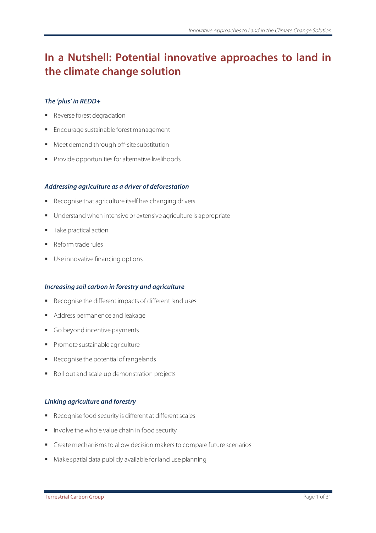## **In a Nutshell: Potential innovative approaches to land in the climate change solution**

#### *The 'plus' in REDD+*

- **Reverse forest degradation**
- **Encourage sustainable forest management**
- Meet demand through off-site substitution
- Provide opportunities for alternative livelihoods

#### *Addressing agriculture as a driver of deforestation*

- Recognise that agriculture itself has changing drivers
- **Understand when intensive or extensive agriculture is appropriate**
- Take practical action
- Reform trade rules
- Use innovative financing options

#### *Increasing soil carbon in forestry and agriculture*

- Recognise the different impacts of different land uses
- Address permanence and leakage
- Go beyond incentive payments
- **Promote sustainable agriculture**
- Recognise the potential of rangelands
- Roll-out and scale-up demonstration projects

#### *Linking agriculture and forestry*

- Recognise food security is different at different scales
- **Involve the whole value chain in food security**
- Create mechanisms to allow decision makers to compare future scenarios
- Make spatial data publicly available for land use planning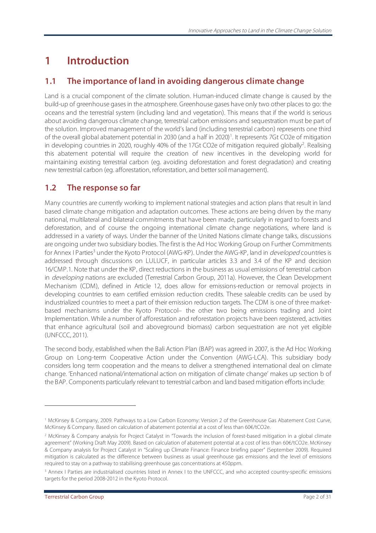## **1 Introduction**

## **1.1 The importance of land in avoiding dangerous climate change**

Land is a crucial component of the climate solution. Human-induced climate change is caused by the build-up of greenhouse gases in the atmosphere. Greenhouse gases have only two other places to go: the oceans and the terrestrial system (including land and vegetation). This means that if the world is serious about avoiding dangerous climate change, terrestrial carbon emissions and sequestration must be part of the solution. Improved management of the world's land (including terrestrial carbon) represents one third of the overall global abatement potential in 2030 (and a half in 2020)<sup>1</sup>. It represents 7Gt CO2e of mitigation in developing countries in 2020, roughly 40% of the 17Gt CO2e of mitigation required globally<sup>2</sup>. Realising this abatement potential will require the creation of new incentives in the developing world for maintaining existing terrestrial carbon (eg. avoiding deforestation and forest degradation) and creating new terrestrial carbon (eg. afforestation, reforestation, and better soil management).

## **1.2 The response so far**

Many countries are currently working to implement national strategies and action plans that result in land based climate change mitigation and adaptation outcomes. These actions are being driven by the many national, multilateral and bilateral commitments that have been made, particularly in regard to forests and deforestation, and of course the ongoing international climate change negotiations, where land is addressed in a variety of ways. Under the banner of the United Nations climate change talks, discussions are ongoing under two subsidiary bodies. The first is the Ad Hoc Working Group on Further Commitments for Annex I Parties<sup>3</sup> under the Kyoto Protocol (AWG-KP). Under the AWG-KP, land in *developed* countries is addressed through discussions on LULUCF, in particular articles 3.3 and 3.4 of the KP and decision 16/CMP.1. Note that under the KP, direct reductions in the business as usual emissions of terrestrial carbon in *developing* nations are excluded (Terrestrial Carbon Group, 2011a). However, the Clean Development Mechanism (CDM), defined in Article 12, does allow for emissions-reduction or removal projects in developing countries to earn certified emission reduction credits. These saleable credits can be used by industrialized countries to meet a part of their emission reduction targets. The CDM is one of three marketbased mechanisms under the Kyoto Protocol– the other two being emissions trading and Joint Implementation. While a number of afforestation and reforestation projects have been registered, activities that enhance agricultural (soil and aboveground biomass) carbon sequestration are not yet eligible (UNFCCC, 2011).

The second body, established when the Bali Action Plan (BAP) was agreed in 2007, is the Ad Hoc Working Group on Long-term Cooperative Action under the Convention (AWG-LCA). This subsidiary body considers long term cooperation and the means to deliver a strengthened international deal on climate change. 'Enhanced national/international action on mitigation of climate change' makes up section b of the BAP. Components particularly relevant to terrestrial carbon and land based mitigation efforts include:

 $\overline{a}$ 

<sup>&</sup>lt;sup>1</sup> McKinsey & Company, 2009. Pathways to a Low Carbon Economy: Version 2 of the Greenhouse Gas Abatement Cost Curve, McKinsey & Company. Based on calculation of abatement potential at a cost of less than 60€/tCO2e.

<sup>&</sup>lt;sup>2</sup> McKinsey & Company analysis for Project Catalyst in "Towards the inclusion of forest-based mitigation in a global climate agreement" (Working Draft May 2009). Based on calculation of abatement potential at a cost of less than 60€/tCO2e. McKinsey & Company analysis for Project Catalyst in "Scaling up Climate Finance: Finance briefing paper" (September 2009). Required mitigation is calculated as the difference between business as usual greenhouse gas emissions and the level of emissions required to stay on a pathway to stabilising greenhouse gas concentrations at 450ppm.

<sup>&</sup>lt;sup>3</sup> Annex I Parties are industrialised countries listed in Annex I to the UNFCCC, and who accepted country-specific emissions targets for the period 2008-2012 in the Kyoto Protocol.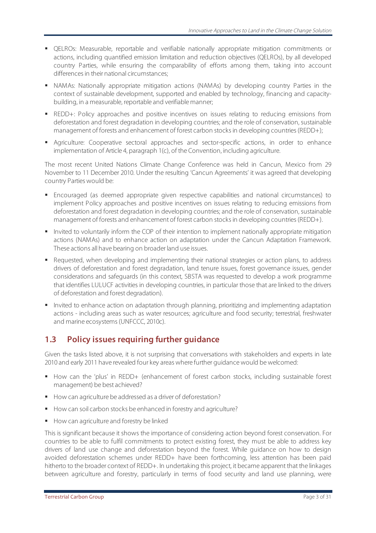- QELROs: Measurable, reportable and verifiable nationally appropriate mitigation commitments or actions, including quantified emission limitation and reduction objectives (QELROs), by all developed country Parties, while ensuring the comparability of efforts among them, taking into account differences in their national circumstances;
- NAMAs: Nationally appropriate mitigation actions (NAMAs) by developing country Parties in the context of sustainable development, supported and enabled by technology, financing and capacitybuilding, in a measurable, reportable and verifiable manner;
- REDD+: Policy approaches and positive incentives on issues relating to reducing emissions from deforestation and forest degradation in developing countries; and the role of conservation, sustainable management of forests and enhancement of forest carbon stocks in developing countries (REDD+);
- Agriculture: Cooperative sectoral approaches and sector-specific actions, in order to enhance implementation of Article 4, paragraph 1(c), of the Convention, including agriculture.

The most recent United Nations Climate Change Conference was held in Cancun, Mexico from 29 November to 11 December 2010. Under the resulting 'Cancun Agreements' it was agreed that developing country Parties would be:

- Encouraged (as deemed appropriate given respective capabilities and national circumstances) to implement Policy approaches and positive incentives on issues relating to reducing emissions from deforestation and forest degradation in developing countries; and the role of conservation, sustainable management of forests and enhancement of forest carbon stocks in developing countries (REDD+).
- Invited to voluntarily inform the COP of their intention to implement nationally appropriate mitigation actions (NAMAs) and to enhance action on adaptation under the Cancun Adaptation Framework. These actions all have bearing on broader land use issues.
- Requested, when developing and implementing their national strategies or action plans, to address drivers of deforestation and forest degradation, land tenure issues, forest governance issues, gender considerations and safeguards (in this context, SBSTA was requested to develop a work programme that identifies LULUCF activities in developing countries, in particular those that are linked to the drivers of deforestation and forest degradation).
- Invited to enhance action on adaptation through planning, prioritizing and implementing adaptation actions - including areas such as water resources; agriculture and food security; terrestrial, freshwater and marine ecosystems (UNFCCC, 2010c).

## **1.3 Policy issues requiring further guidance**

Given the tasks listed above, it is not surprising that conversations with stakeholders and experts in late 2010 and early 2011 have revealed four key areas where further guidance would be welcomed:

- How can the 'plus' in REDD+ (enhancement of forest carbon stocks, including sustainable forest management) be best achieved?
- How can agriculture be addressed as a driver of deforestation?
- How can soil carbon stocks be enhanced in forestry and agriculture?
- How can agriculture and forestry be linked

This is significant because it shows the importance of considering action beyond forest conservation. For countries to be able to fulfil commitments to protect existing forest, they must be able to address key drivers of land use change and deforestation beyond the forest. While guidance on how to design avoided deforestation schemes under REDD+ have been forthcoming, less attention has been paid hitherto to the broader context of REDD+. In undertaking this project, it became apparent that the linkages between agriculture and forestry, particularly in terms of food security and land use planning, were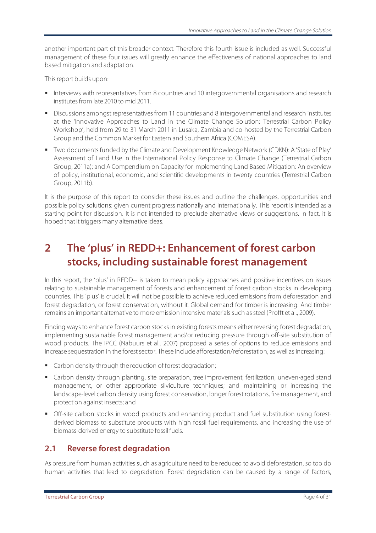another important part of this broader context. Therefore this fourth issue is included as well. Successful management of these four issues will greatly enhance the effectiveness of national approaches to land based mitigation and adaptation.

This report builds upon:

- Interviews with representatives from 8 countries and 10 intergovernmental organisations and research institutes from late 2010 to mid 2011.
- **Discussions amongst representatives from 11 countries and 8 intergovernmental and research institutes** at the 'Innovative Approaches to Land in the Climate Change Solution: Terrestrial Carbon Policy Workshop', held from 29 to 31 March 2011 in Lusaka, Zambia and co-hosted by the Terrestrial Carbon Group and the Common Market for Eastern and Southern Africa (COMESA).
- Two documents funded by the Climate and Development Knowledge Network (CDKN): A 'State of Play' Assessment of Land Use in the International Policy Response to Climate Change (Terrestrial Carbon Group, 2011a); and A Compendium on Capacity for Implementing Land Based Mitigation: An overview of policy, institutional, economic, and scientific developments in twenty countries (Terrestrial Carbon Group, 2011b).

It is the purpose of this report to consider these issues and outline the challenges, opportunities and possible policy solutions: given current progress nationally and internationally. This report is intended as a starting point for discussion. It is not intended to preclude alternative views or suggestions. In fact, it is hoped that it triggers many alternative ideas.

## **2 The 'plus' in REDD+: Enhancement of forest carbon stocks, including sustainable forest management**

In this report, the 'plus' in REDD+ is taken to mean policy approaches and positive incentives on issues relating to sustainable management of forests and enhancement of forest carbon stocks in developing countries. This 'plus' is crucial. It will not be possible to achieve reduced emissions from deforestation and forest degradation, or forest conservation, without it. Global demand for timber is increasing. And timber remains an important alternative to more emission intensive materials such as steel (Profft et al., 2009).

Finding ways to enhance forest carbon stocks in existing forests means either reversing forest degradation, implementing sustainable forest management and/or reducing pressure through off-site substitution of wood products. The IPCC (Nabuurs et al., 2007) proposed a series of options to reduce emissions and increase sequestration in the forest sector. These include afforestation/reforestation, as well as increasing:

- **Carbon density through the reduction of forest degradation;**
- Carbon density through planting, site preparation, tree improvement, fertilization, uneven-aged stand management, or other appropriate silviculture techniques; and maintaining or increasing the landscape-level carbon density using forest conservation, longer forest rotations, fire management, and protection against insects; and
- Off-site carbon stocks in wood products and enhancing product and fuel substitution using forestderived biomass to substitute products with high fossil fuel requirements, and increasing the use of biomass-derived energy to substitute fossil fuels.

### **2.1 Reverse forest degradation**

As pressure from human activities such as agriculture need to be reduced to avoid deforestation, so too do human activities that lead to degradation. Forest degradation can be caused by a range of factors,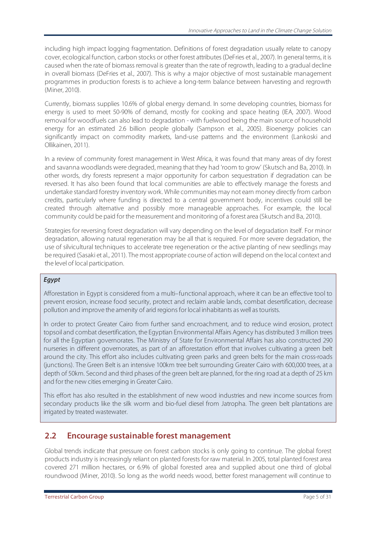including high impact logging fragmentation. Definitions of forest degradation usually relate to canopy cover, ecological function, carbon stocks or other forest attributes (DeFries et al., 2007). In general terms, it is caused when the rate of biomass removal is greater than the rate of regrowth, leading to a gradual decline in overall biomass (DeFries et al., 2007). This is why a major objective of most sustainable management programmes in production forests is to achieve a long-term balance between harvesting and regrowth (Miner, 2010).

Currently, biomass supplies 10.6% of global energy demand. In some developing countries, biomass for energy is used to meet 50-90% of demand, mostly for cooking and space heating (IEA, 2007). Wood removal for woodfuels can also lead to degradation - with fuelwood being the main source of household energy for an estimated 2.6 billion people globally (Sampson et al., 2005). Bioenergy policies can significantly impact on commodity markets, land-use patterns and the environment (Lankoski and Ollikainen, 2011).

In a review of community forest management in West Africa, it was found that many areas of dry forest and savanna woodlands were degraded, meaning that they had 'room to grow' (Skutsch and Ba, 2010). In other words, dry forests represent a major opportunity for carbon sequestration if degradation can be reversed. It has also been found that local communities are able to effectively manage the forests and undertake standard forestry inventory work. While communities may not earn money directly from carbon credits, particularly where funding is directed to a central government body, incentives could still be created through alternative and possibly more manageable approaches. For example, the local community could be paid for the measurement and monitoring of a forest area (Skutsch and Ba, 2010).

Strategies for reversing forest degradation will vary depending on the level of degradation itself. For minor degradation, allowing natural regeneration may be all that is required. For more severe degradation, the use of silvicultural techniques to accelerate tree regeneration or the active planting of new seedlings may be required (Sasaki et al., 2011). The most appropriate course of action will depend on the local context and the level of local participation.

#### *Egypt*

Afforestation in Egypt is considered from a multi–functional approach, where it can be an effective tool to prevent erosion, increase food security, protect and reclaim arable lands, combat desertification, decrease pollution and improve the amenity of arid regions for local inhabitants as well as tourists.

In order to protect Greater Cairo from further sand encroachment, and to reduce wind erosion, protect topsoil and combat desertification, the Egyptian Environmental Affairs Agency has distributed 3 million trees for all the Egyptian governorates. The Ministry of State for Environmental Affairs has also constructed 290 nurseries in different governorates, as part of an afforestation effort that involves cultivating a green belt around the city. This effort also includes cultivating green parks and green belts for the main cross-roads (junctions). The Green Belt is an intensive 100km tree belt surrounding Greater Cairo with 600,000 trees, at a depth of 50km. Second and third phases of the green belt are planned, for the ring road at a depth of 25 km and for the new cities emerging in Greater Cairo.

This effort has also resulted in the establishment of new wood industries and new income sources from secondary products like the silk worm and bio-fuel diesel from Jatropha. The green belt plantations are irrigated by treated wastewater.

### **2.2 Encourage sustainable forest management**

Global trends indicate that pressure on forest carbon stocks is only going to continue. The global forest products industry is increasingly reliant on planted forests for raw material. In 2005, total planted forest area covered 271 million hectares, or 6.9% of global forested area and supplied about one third of global roundwood (Miner, 2010). So long as the world needs wood, better forest management will continue to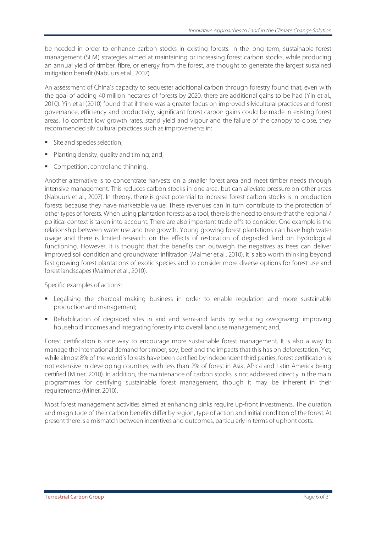be needed in order to enhance carbon stocks in existing forests. In the long term, sustainable forest management (SFM) strategies aimed at maintaining or increasing forest carbon stocks, while producing an annual yield of timber, fibre, or energy from the forest, are thought to generate the largest sustained mitigation benefit (Nabuurs et al., 2007).

An assessment of China's capacity to sequester additional carbon through forestry found that, even with the goal of adding 40 million hectares of forests by 2020, there are additional gains to be had (Yin et al., 2010). Yin et al (2010) found that if there was a greater focus on improved silvicultural practices and forest governance, efficiency and productivity, significant forest carbon gains could be made in existing forest areas. To combat low growth rates, stand yield and vigour and the failure of the canopy to close, they recommended silvicultural practices such as improvements in:

- Site and species selection;
- **Planting density, quality and timing; and,**
- Competition, control and thinning.

Another alternative is to concentrate harvests on a smaller forest area and meet timber needs through intensive management. This reduces carbon stocks in one area, but can alleviate pressure on other areas (Nabuurs et al., 2007). In theory, there is great potential to increase forest carbon stocks is in production forests because they have marketable value. These revenues can in turn contribute to the protection of other types of forests. When using plantation forests as a tool, there is the need to ensure that the regional / political context is taken into account. There are also important trade-offs to consider. One example is the relationship between water use and tree growth. Young growing forest plantations can have high water usage and there is limited research on the effects of restoration of degraded land on hydrological functioning. However, it is thought that the benefits can outweigh the negatives as trees can deliver improved soil condition and groundwater infiltration (Malmer et al., 2010). It is also worth thinking beyond fast growing forest plantations of exotic species and to consider more diverse options for forest use and forest landscapes (Malmer et al., 2010).

Specific examples of actions:

- Legalising the charcoal making business in order to enable regulation and more sustainable production and management;
- Rehabilitation of degraded sites in arid and semi-arid lands by reducing overgrazing, improving household incomes and integrating forestry into overall land use management; and,

Forest certification is one way to encourage more sustainable forest management. It is also a way to manage the international demand for timber, soy, beef and the impacts that this has on deforestation. Yet, while almost 8% of the world's forests have been certified by independent third parties, forest certification is not extensive in developing countries, with less than 2% of forest in Asia, Africa and Latin America being certified (Miner, 2010). In addition, the maintenance of carbon stocks is not addressed directly in the main programmes for certifying sustainable forest management, though it may be inherent in their requirements (Miner, 2010).

Most forest management activities aimed at enhancing sinks require up-front investments. The duration and magnitude of their carbon benefits differ by region, type of action and initial condition of the forest. At present there is a mismatch between incentives and outcomes, particularly in terms of upfront costs.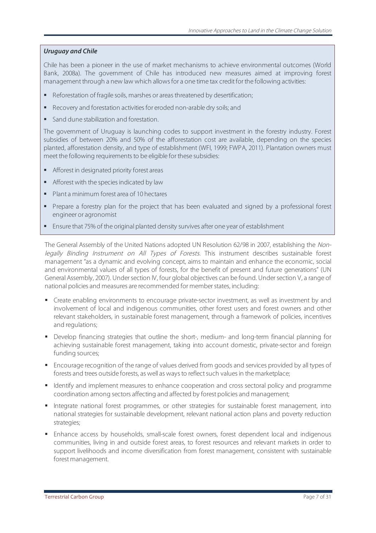#### *Uruguay and Chile*

Chile has been a pioneer in the use of market mechanisms to achieve environmental outcomes (World Bank, 2008a). The government of Chile has introduced new measures aimed at improving forest management through a new law which allows for a one time tax credit for the following activities:

- Reforestation of fragile soils, marshes or areas threatened by desertification;
- Recovery and forestation activities for eroded non-arable dry soils; and
- Sand dune stabilization and forestation.

The government of Uruguay is launching codes to support investment in the forestry industry. Forest subsidies of between 20% and 50% of the afforestation cost are available, depending on the species planted, afforestation density, and type of establishment (WFI, 1999; FWPA, 2011). Plantation owners must meet the following requirements to be eligible for these subsidies:

- Afforest in designated priority forest areas
- **Afforest with the species indicated by law**
- **Plant a minimum forest area of 10 hectares**
- Prepare a forestry plan for the project that has been evaluated and signed by a professional forest engineer or agronomist
- Ensure that 75% of the original planted density survives after one year of establishment

The General Assembly of the United Nations adopted UN Resolution 62/98 in 2007, establishing the Nonlegally Binding Instrument on All Types of Forests. This instrument describes sustainable forest management "as a dynamic and evolving concept, aims to maintain and enhance the economic, social and environmental values of all types of forests, for the benefit of present and future generations" (UN General Assembly, 2007). Under section IV, four global objectives can be found. Under section V, a range of national policies and measures are recommended for member states, including:

- Create enabling environments to encourage private-sector investment, as well as investment by and involvement of local and indigenous communities, other forest users and forest owners and other relevant stakeholders, in sustainable forest management, through a framework of policies, incentives and regulations;
- Develop financing strategies that outline the short-, medium- and long-term financial planning for achieving sustainable forest management, taking into account domestic, private-sector and foreign funding sources;
- Encourage recognition of the range of values derived from goods and services provided by all types of forests and trees outside forests, as well as ways to reflect such values in the marketplace;
- I dentify and implement measures to enhance cooperation and cross sectoral policy and programme coordination among sectors affecting and affected by forest policies and management;
- Integrate national forest programmes, or other strategies for sustainable forest management, into national strategies for sustainable development, relevant national action plans and poverty reduction strategies;
- Enhance access by households, small-scale forest owners, forest dependent local and indigenous communities, living in and outside forest areas, to forest resources and relevant markets in order to support livelihoods and income diversification from forest management, consistent with sustainable forest management.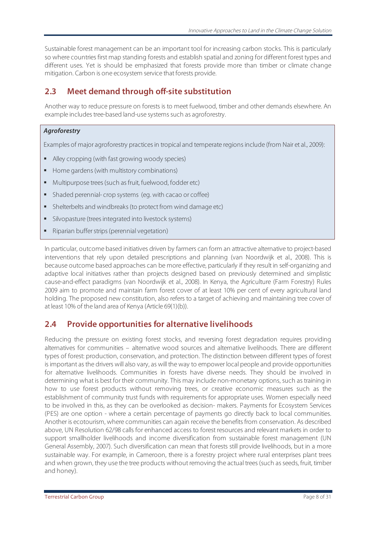Sustainable forest management can be an important tool for increasing carbon stocks. This is particularly so where countries first map standing forests and establish spatial and zoning for different forest types and different uses. Yet is should be emphasized that forests provide more than timber or climate change mitigation. Carbon is one ecosystem service that forests provide.

### **2.3 Meet demand through off-site substitution**

Another way to reduce pressure on forests is to meet fuelwood, timber and other demands elsewhere. An example includes tree-based land-use systems such as agroforestry.

#### *Agroforestry*

Examples of major agroforestry practices in tropical and temperate regions include (from Nair et al., 2009):

- Alley cropping (with fast growing woody species)
- Home gardens (with multistory combinations)
- Multipurpose trees (such as fruit, fuelwood, fodder etc)
- Shaded perennial- crop systems (eg. with cacao or coffee)
- Shelterbelts and windbreaks (to protect from wind damage etc)
- Silvopasture (trees integrated into livestock systems)
- Riparian buffer strips (perennial vegetation)

In particular, outcome based initiatives driven by farmers can form an attractive alternative to project-based interventions that rely upon detailed prescriptions and planning (van Noordwijk et al., 2008). This is because outcome based approaches can be more effective, particularly if they result in self-organizing and adaptive local initiatives rather than projects designed based on previously determined and simplistic cause-and-effect paradigms (van Noordwijk et al., 2008). In Kenya, the Agriculture (Farm Forestry) Rules 2009 aim to promote and maintain farm forest cover of at least 10% per cent of every agricultural land holding. The proposed new constitution, also refers to a target of achieving and maintaining tree cover of at least 10% of the land area of Kenya (Article 69(1)(b)).

### **2.4 Provide opportunities for alternative livelihoods**

Reducing the pressure on existing forest stocks, and reversing forest degradation requires providing alternatives for communities – alternative wood sources and alternative livelihoods. There are different types of forest: production, conservation, and protection. The distinction between different types of forest is important as the drivers will also vary, as will the way to empower local people and provide opportunities for alternative livelihoods. Communities in forests have diverse needs. They should be involved in determining what is best for their community. This may include non-monetary options, such as training in how to use forest products without removing trees, or creative economic measures such as the establishment of community trust funds with requirements for appropriate uses. Women especially need to be involved in this, as they can be overlooked as decision- makers. Payments for Ecosystem Services (PES) are one option - where a certain percentage of payments go directly back to local communities. Another is ecotourism, where communities can again receive the benefits from conservation. As described above, UN Resolution 62/98 calls for enhanced access to forest resources and relevant markets in order to support smallholder livelihoods and income diversification from sustainable forest management (UN General Assembly, 2007). Such diversification can mean that forests still provide livelihoods, but in a more sustainable way. For example, in Cameroon, there is a forestry project where rural enterprises plant trees and when grown, they use the tree products without removing the actual trees (such as seeds, fruit, timber and honey).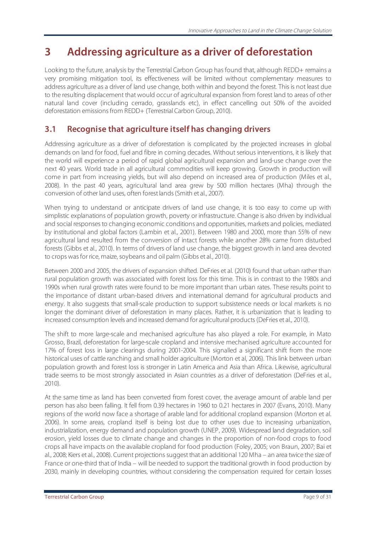## **3 Addressing agriculture as a driver of deforestation**

Looking to the future, analysis by the Terrestrial Carbon Group has found that, although REDD+ remains a very promising mitigation tool, its effectiveness will be limited without complementary measures to address agriculture as a driver of land use change, both within and beyond the forest. This is not least due to the resulting displacement that would occur of agricultural expansion from forest land to areas of other natural land cover (including cerrado, grasslands etc), in effect cancelling out 50% of the avoided deforestation emissions from REDD+ (Terrestrial Carbon Group, 2010).

## **3.1 Recognise that agriculture itself has changing drivers**

Addressing agriculture as a driver of deforestation is complicated by the projected increases in global demands on land for food, fuel and fibre in coming decades. Without serious interventions, it is likely that the world will experience a period of rapid global agricultural expansion and land-use change over the next 40 years. World trade in all agricultural commodities will keep growing. Growth in production will come in part from increasing yields, but will also depend on increased area of production (Miles et al., 2008). In the past 40 years, agricultural land area grew by 500 million hectares (Mha) through the conversion of other land uses, often forest lands (Smith et al., 2007).

When trying to understand or anticipate drivers of land use change, it is too easy to come up with simplistic explanations of population growth, poverty or infrastructure. Change is also driven by individual and social responses to changing economic conditions and opportunities, markets and policies, mediated by institutional and global factors (Lambin et al., 2001). Between 1980 and 2000, more than 55% of new agricultural land resulted from the conversion of intact forests while another 28% came from disturbed forests (Gibbs et al., 2010). In terms of drivers of land use change, the biggest growth in land area devoted to crops was for rice, maize, soybeans and oil palm (Gibbs et al., 2010).

Between 2000 and 2005, the drivers of expansion shifted. DeFries et al. (2010) found that urban rather than rural population growth was associated with forest loss for this time. This is in contrast to the 1980s and 1990s when rural growth rates were found to be more important than urban rates. These results point to the importance of distant urban-based drivers and international demand for agricultural products and energy. It also suggests that small-scale production to support subsistence needs or local markets is no longer the dominant driver of deforestation in many places. Rather, it is urbanization that is leading to increased consumption levels and increased demand for agricultural products (DeFries et al., 2010).

The shift to more large-scale and mechanised agriculture has also played a role. For example, in Mato Grosso, Brazil, deforestation for large-scale cropland and intensive mechanised agriculture accounted for 17% of forest loss in large clearings during 2001-2004. This signalled a significant shift from the more historical uses of cattle ranching and small holder agriculture (Morton et al, 2006). This link between urban population growth and forest loss is stronger in Latin America and Asia than Africa. Likewise, agricultural trade seems to be most strongly associated in Asian countries as a driver of deforestation (DeFries et al., 2010).

At the same time as land has been converted from forest cover, the average amount of arable land per person has also been falling. It fell from 0.39 hectares in 1960 to 0.21 hectares in 2007 (Evans, 2010). Many regions of the world now face a shortage of arable land for additional cropland expansion (Morton et al. 2006). In some areas, cropland itself is being lost due to other uses due to increasing urbanization, industrialization, energy demand and population growth (UNEP, 2009). Widespread land degradation, soil erosion, yield losses due to climate change and changes in the proportion of non-food crops to food crops all have impacts on the available cropland for food production (Foley, 2005; von Braun, 2007; Bai et al., 2008; Kiers et al., 2008). Current projections suggest that an additional 120 Mha – an area twice the size of France or one-third that of India – will be needed to support the traditional growth in food production by 2030, mainly in developing countries, without considering the compensation required for certain losses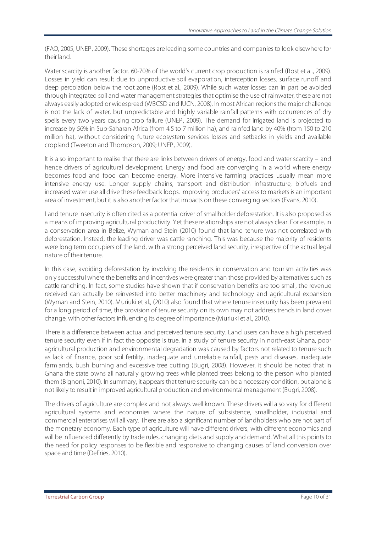(FAO, 2005; UNEP, 2009). These shortages are leading some countries and companies to look elsewhere for their land.

Water scarcity is another factor. 60-70% of the world's current crop production is rainfed (Rost et al., 2009). Losses in yield can result due to unproductive soil evaporation, interception losses, surface runoff and deep percolation below the root zone (Rost et al., 2009). While such water losses can in part be avoided through integrated soil and water management strategies that optimise the use of rainwater, these are not always easily adopted or widespread (WBCSD and IUCN, 2008). In most African regions the major challenge is not the lack of water, but unpredictable and highly variable rainfall patterns with occurrences of dry spells every two years causing crop failure (UNEP, 2009). The demand for irrigated land is projected to increase by 56% in Sub-Saharan Africa (from 4.5 to 7 million ha), and rainfed land by 40% (from 150 to 210 million ha), without considering future ecosystem services losses and setbacks in yields and available cropland (Tweeton and Thompson, 2009; UNEP, 2009).

It is also important to realise that there are links between drivers of energy, food and water scarcity – and hence drivers of agricultural development. Energy and food are converging in a world where energy becomes food and food can become energy. More intensive farming practices usually mean more intensive energy use. Longer supply chains, transport and distribution infrastructure, biofuels and increased water use all drive these feedback loops. Improving producers' access to markets is an important area of investment, but it is also another factor that impacts on these converging sectors (Evans, 2010).

Land tenure insecurity is often cited as a potential driver of smallholder deforestation. It is also proposed as a means of improving agricultural productivity. Yet these relationships are not always clear. For example, in a conservation area in Belize, Wyman and Stein (2010) found that land tenure was not correlated with deforestation. Instead, the leading driver was cattle ranching. This was because the majority of residents were long term occupiers of the land, with a strong perceived land security, irrespective of the actual legal nature of their tenure.

In this case, avoiding deforestation by involving the residents in conservation and tourism activities was only successful where the benefits and incentives were greater than those provided by alternatives such as cattle ranching. In fact, some studies have shown that if conservation benefits are too small, the revenue received can actually be reinvested into better machinery and technology and agricultural expansion (Wyman and Stein, 2010). Muriuki et al., (2010) also found that where tenure insecurity has been prevalent for a long period of time, the provision of tenure security on its own may not address trends in land cover change, with other factors influencing its degree of importance (Muriuki et al., 2010).

There is a difference between actual and perceived tenure security. Land users can have a high perceived tenure security even if in fact the opposite is true. In a study of tenure security in north-east Ghana, poor agricultural production and environmental degradation was caused by factors not related to tenure such as lack of finance, poor soil fertility, inadequate and unreliable rainfall, pests and diseases, inadequate farmlands, bush burning and excessive tree cutting (Bugri, 2008). However, it should be noted that in Ghana the state owns all naturally growing trees while planted trees belong to the person who planted them (Bignoni, 2010). In summary, it appears that tenure security can be a necessary condition, but alone is not likely to result in improved agricultural production and environmental management (Bugri, 2008).

The drivers of agriculture are complex and not always well known. These drivers will also vary for different agricultural systems and economies where the nature of subsistence, smallholder, industrial and commercial enterprises will all vary. There are also a significant number of landholders who are not part of the monetary economy. Each type of agriculture will have different drivers, with different economics and will be influenced differently by trade rules, changing diets and supply and demand. What all this points to the need for policy responses to be flexible and responsive to changing causes of land conversion over space and time (DeFries, 2010).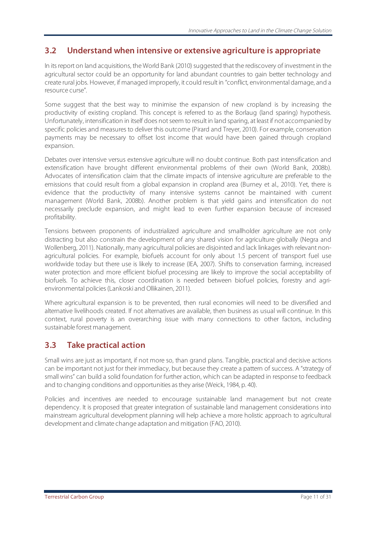### **3.2 Understand when intensive or extensive agriculture is appropriate**

In its report on land acquisitions, the World Bank (2010) suggested that the rediscovery of investment in the agricultural sector could be an opportunity for land abundant countries to gain better technology and create rural jobs. However, if managed improperly, it could result in "conflict, environmental damage, and a resource curse".

Some suggest that the best way to minimise the expansion of new cropland is by increasing the productivity of existing cropland. This concept is referred to as the Borlaug (land sparing) hypothesis. Unfortunately, intensification in itself does not seem to result in land sparing, at least if not accompanied by specific policies and measures to deliver this outcome (Pirard and Treyer, 2010). For example, conservation payments may be necessary to offset lost income that would have been gained through cropland expansion.

Debates over intensive versus extensive agriculture will no doubt continue. Both past intensification and extensification have brought different environmental problems of their own (World Bank, 2008b). Advocates of intensification claim that the climate impacts of intensive agriculture are preferable to the emissions that could result from a global expansion in cropland area (Burney et al., 2010). Yet, there is evidence that the productivity of many intensive systems cannot be maintained with current management (World Bank, 2008b). Another problem is that yield gains and intensification do not necessarily preclude expansion, and might lead to even further expansion because of increased profitability.

Tensions between proponents of industrialized agriculture and smallholder agriculture are not only distracting but also constrain the development of any shared vision for agriculture globally (Negra and Wollenberg, 2011). Nationally, many agricultural policies are disjointed and lack linkages with relevant nonagricultural policies. For example, biofuels account for only about 1.5 percent of transport fuel use worldwide today but there use is likely to increase (IEA, 2007). Shifts to conservation farming, increased water protection and more efficient biofuel processing are likely to improve the social acceptability of biofuels. To achieve this, closer coordination is needed between biofuel policies, forestry and agrienvironmental policies (Lankoski and Ollikainen, 2011).

Where agricultural expansion is to be prevented, then rural economies will need to be diversified and alternative livelihoods created. If not alternatives are available, then business as usual will continue. In this context, rural poverty is an overarching issue with many connections to other factors, including sustainable forest management.

### **3.3 Take practical action**

Small wins are just as important, if not more so, than grand plans. Tangible, practical and decisive actions can be important not just for their immediacy, but because they create a pattern of success. A "strategy of small wins" can build a solid foundation for further action, which can be adapted in response to feedback and to changing conditions and opportunities as they arise (Weick, 1984, p. 40).

Policies and incentives are needed to encourage sustainable land management but not create dependency. It is proposed that greater integration of sustainable land management considerations into mainstream agricultural development planning will help achieve a more holistic approach to agricultural development and climate change adaptation and mitigation (FAO, 2010).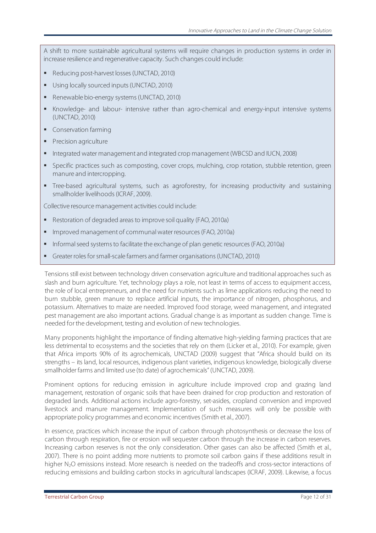A shift to more sustainable agricultural systems will require changes in production systems in order in increase resilience and regenerative capacity. Such changes could include:

- Reducing post-harvest losses (UNCTAD, 2010)
- Using locally sourced inputs (UNCTAD, 2010)
- Renewable bio-energy systems (UNCTAD, 2010)
- Knowledge- and labour- intensive rather than agro-chemical and energy-input intensive systems (UNCTAD, 2010)
- Conservation farming
- **Precision agriculture**
- Integrated water management and integrated crop management (WBCSD and IUCN, 2008)
- Specific practices such as composting, cover crops, mulching, crop rotation, stubble retention, green manure and intercropping.
- Tree-based agricultural systems, such as agroforestry, for increasing productivity and sustaining smallholder livelihoods (ICRAF, 2009).

Collective resource management activities could include:

- Restoration of degraded areas to improve soil quality (FAO, 2010a)
- Improved management of communal water resources (FAO, 2010a)
- Informal seed systems to facilitate the exchange of plan genetic resources (FAO, 2010a)
- Greater roles for small-scale farmers and farmer organisations (UNCTAD, 2010)

Tensions still exist between technology driven conservation agriculture and traditional approaches such as slash and burn agriculture. Yet, technology plays a role, not least in terms of access to equipment access, the role of local entrepreneurs, and the need for nutrients such as lime applications reducing the need to burn stubble, green manure to replace artificial inputs, the importance of nitrogen, phosphorus, and potassium. Alternatives to maize are needed. Improved food storage, weed management, and integrated pest management are also important actions. Gradual change is as important as sudden change. Time is needed for the development, testing and evolution of new technologies.

Many proponents highlight the importance of finding alternative high-yielding farming practices that are less detrimental to ecosystems and the societies that rely on them (Licker et al., 2010). For example, given that Africa imports 90% of its agrochemicals, UNCTAD (2009) suggest that "Africa should build on its strengths – its land, local resources, indigenous plant varieties, indigenous knowledge, biologically diverse smallholder farms and limited use (to date) of agrochemicals" (UNCTAD, 2009).

Prominent options for reducing emission in agriculture include improved crop and grazing land management, restoration of organic soils that have been drained for crop production and restoration of degraded lands. Additional actions include agro-forestry, set-asides, cropland conversion and improved livestock and manure management. Implementation of such measures will only be possible with appropriate policy programmes and economic incentives (Smith et al., 2007).

In essence, practices which increase the input of carbon through photosynthesis or decrease the loss of carbon through respiration, fire or erosion will sequester carbon through the increase in carbon reserves. Increasing carbon reserves is not the only consideration. Other gases can also be affected (Smith et al., 2007). There is no point adding more nutrients to promote soil carbon gains if these additions result in higher N<sub>2</sub>O emissions instead. More research is needed on the tradeoffs and cross-sector interactions of reducing emissions and building carbon stocks in agricultural landscapes (ICRAF, 2009). Likewise, a focus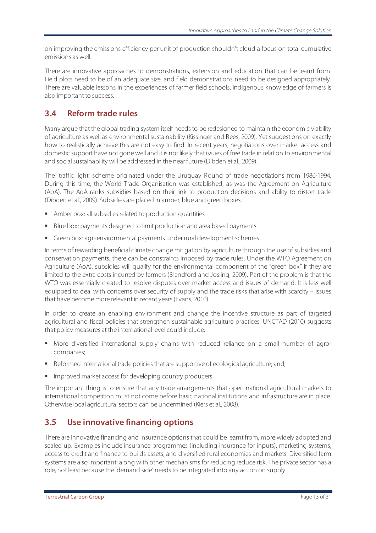on improving the emissions efficiency per unit of production shouldn't cloud a focus on total cumulative emissions as well.

There are innovative approaches to demonstrations, extension and education that can be learnt from. Field plots need to be of an adequate size, and field demonstrations need to be designed appropriately. There are valuable lessons in the experiences of farmer field schools. Indigenous knowledge of farmers is also important to success.

## **3.4 Reform trade rules**

Many argue that the global trading system itself needs to be redesigned to maintain the economic viability of agriculture as well as environmental sustainability (Kissinger and Rees, 2009). Yet suggestions on exactly how to realistically achieve this are not easy to find. In recent years, negotiations over market access and domestic support have not gone well and it is not likely that issues of free trade in relation to environmental and social sustainability will be addressed in the near future (Dibden et al., 2009).

The 'traffic light' scheme originated under the Uruguay Round of trade negotiations from 1986-1994. During this time, the World Trade Organisation was established, as was the Agreement on Agriculture (AoA). The AoA ranks subsidies based on their link to production decisions and ability to distort trade (Dibden et al., 2009). Subsidies are placed in amber, blue and green boxes.

- Amber box: all subsidies related to production quantities
- Blue box: payments designed to limit production and area based payments
- Green box: agri-environmental payments under rural development schemes

In terms of rewarding beneficial climate change mitigation by agriculture through the use of subsidies and conservation payments, there can be constraints imposed by trade rules. Under the WTO Agreement on Agriculture (AoA), subsidies will qualify for the environmental component of the "green box" if they are limited to the extra costs incurred by farmers (Blandford and Josling, 2009). Part of the problem is that the WTO was essentially created to resolve disputes over market access and issues of demand. It is less well equipped to deal with concerns over security of supply and the trade risks that arise with scarcity – issues that have become more relevant in recent years (Evans, 2010).

In order to create an enabling environment and change the incentive structure as part of targeted agricultural and fiscal policies that strengthen sustainable agriculture practices, UNCTAD (2010) suggests that policy measures at the international level could include:

- More diversified international supply chains with reduced reliance on a small number of agrocompanies;
- Reformed international trade policies that are supportive of ecological agriculture; and,
- Improved market access for developing country producers.

The important thing is to ensure that any trade arrangements that open national agricultural markets to international competition must not come before basic national institutions and infrastructure are in place. Otherwise local agricultural sectors can be undermined (Kiers et al., 2008).

## **3.5 Use innovative financing options**

There are innovative financing and insurance options that could be learnt from, more widely adopted and scaled up. Examples include insurance programmes (including insurance for inputs), marketing systems, access to credit and finance to builds assets, and diversified rural economies and markets. Diversified farm systems are also important; along with other mechanisms for reducing reduce risk. The private sector has a role, not least because the 'demand side' needs to be integrated into any action on supply.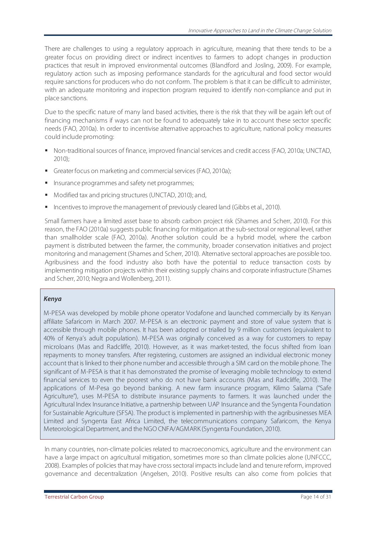There are challenges to using a regulatory approach in agriculture, meaning that there tends to be a greater focus on providing direct or indirect incentives to farmers to adopt changes in production practices that result in improved environmental outcomes (Blandford and Josling, 2009). For example, regulatory action such as imposing performance standards for the agricultural and food sector would require sanctions for producers who do not conform. The problem is that it can be difficult to administer, with an adequate monitoring and inspection program required to identify non-compliance and put in place sanctions.

Due to the specific nature of many land based activities, there is the risk that they will be again left out of financing mechanisms if ways can not be found to adequately take in to account these sector specific needs (FAO, 2010a). In order to incentivise alternative approaches to agriculture, national policy measures could include promoting:

- Non-traditional sources of finance, improved financial services and credit access (FAO, 2010a; UNCTAD, 2010);
- Greater focus on marketing and commercial services (FAO, 2010a);
- **Insurance programmes and safety net programmes;**
- **Modified tax and pricing structures (UNCTAD, 2010); and,**
- **Incentives to improve the management of previously cleared land (Gibbs et al., 2010).**

Small farmers have a limited asset base to absorb carbon project risk (Shames and Scherr, 2010). For this reason, the FAO (2010a) suggests public financing for mitigation at the sub-sectoral or regional level, rather than smallholder scale (FAO, 2010a). Another solution could be a hybrid model, where the carbon payment is distributed between the farmer, the community, broader conservation initiatives and project monitoring and management (Shames and Scherr, 2010). Alternative sectoral approaches are possible too. Agribusiness and the food industry also both have the potential to reduce transaction costs by implementing mitigation projects within their existing supply chains and corporate infrastructure (Shames and Scherr, 2010; Negra and Wollenberg, 2011).

#### *Kenya*

M-PESA was developed by mobile phone operator Vodafone and launched commercially by its Kenyan affiliate Safaricom in March 2007. M-PESA is an electronic payment and store of value system that is accessible through mobile phones. It has been adopted or trialled by 9 million customers (equivalent to 40% of Kenya's adult population). M-PESA was originally conceived as a way for customers to repay microloans (Mas and Radcliffe, 2010). However, as it was market-tested, the focus shifted from loan repayments to money transfers. After registering, customers are assigned an individual electronic money account that is linked to their phone number and accessible through a SIM card on the mobile phone. The significant of M-PESA is that it has demonstrated the promise of leveraging mobile technology to extend financial services to even the poorest who do not have bank accounts (Mas and Radcliffe, 2010). The applications of M-Pesa go beyond banking. A new farm insurance program, Kilimo Salama ("Safe Agriculture"), uses M-PESA to distribute insurance payments to farmers. It was launched under the Agricultural Index Insurance Initiative, a partnership between UAP Insurance and the Syngenta Foundation for Sustainable Agriculture (SFSA). The product is implemented in partnership with the agribusinesses MEA Limited and Syngenta East Africa Limited, the telecommunications company Safaricom, the Kenya Meteorological Department, and the NGO CNFA/AGMARK (Syngenta Foundation, 2010).

In many countries, non-climate policies related to macroeconomics, agriculture and the environment can have a large impact on agricultural mitigation, sometimes more so than climate policies alone (UNFCCC, 2008). Examples of policies that may have cross sectoral impacts include land and tenure reform, improved governance and decentralization (Angelsen, 2010). Positive results can also come from policies that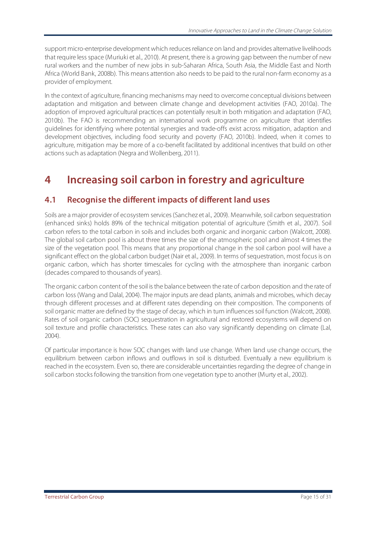support micro-enterprise development which reduces reliance on land and provides alternative livelihoods that require less space (Muriuki et al., 2010). At present, there is a growing gap between the number of new rural workers and the number of new jobs in sub-Saharan Africa, South Asia, the Middle East and North Africa (World Bank, 2008b). This means attention also needs to be paid to the rural non-farm economy as a provider of employment.

In the context of agriculture, financing mechanisms may need to overcome conceptual divisions between adaptation and mitigation and between climate change and development activities (FAO, 2010a). The adoption of improved agricultural practices can potentially result in both mitigation and adaptation (FAO, 2010b). The FAO is recommending an international work programme on agriculture that identifies guidelines for identifying where potential synergies and trade-offs exist across mitigation, adaption and development objectives, including food security and poverty (FAO, 2010b). Indeed, when it comes to agriculture, mitigation may be more of a co-benefit facilitated by additional incentives that build on other actions such as adaptation (Negra and Wollenberg, 2011).

## **4 Increasing soil carbon in forestry and agriculture**

## **4.1 Recognise the different impacts of different land uses**

Soils are a major provider of ecosystem services (Sanchez et al., 2009). Meanwhile, soil carbon sequestration (enhanced sinks) holds 89% of the technical mitigation potential of agriculture (Smith et al., 2007). Soil carbon refers to the total carbon in soils and includes both organic and inorganic carbon (Walcott, 2008). The global soil carbon pool is about three times the size of the atmospheric pool and almost 4 times the size of the vegetation pool. This means that any proportional change in the soil carbon pool will have a significant effect on the global carbon budget (Nair et al., 2009). In terms of sequestration, most focus is on organic carbon, which has shorter timescales for cycling with the atmosphere than inorganic carbon (decades compared to thousands of years).

The organic carbon content of the soil is the balance between the rate of carbon deposition and the rate of carbon loss (Wang and Dalal, 2004). The major inputs are dead plants, animals and microbes, which decay through different processes and at different rates depending on their composition. The components of soil organic matter are defined by the stage of decay, which in turn influences soil function (Walcott, 2008). Rates of soil organic carbon (SOC) sequestration in agricultural and restored ecosystems will depend on soil texture and profile characteristics. These rates can also vary significantly depending on climate (Lal, 2004).

Of particular importance is how SOC changes with land use change. When land use change occurs, the equilibrium between carbon inflows and outflows in soil is disturbed. Eventually a new equilibrium is reached in the ecosystem. Even so, there are considerable uncertainties regarding the degree of change in soil carbon stocks following the transition from one vegetation type to another (Murty et al., 2002).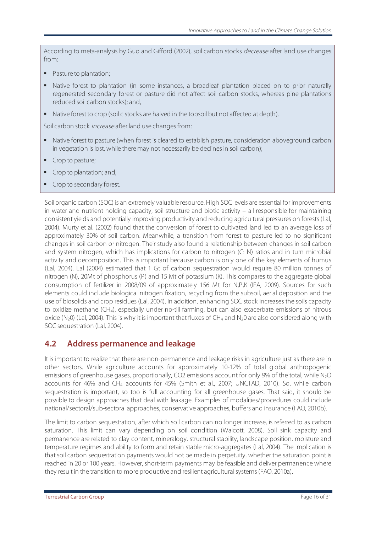According to meta-analysis by Guo and Gifford (2002), soil carbon stocks *decrease* after land use changes from:

- Pasture to plantation;
- Native forest to plantation (in some instances, a broadleaf plantation placed on to prior naturally regenerated secondary forest or pasture did not affect soil carbon stocks, whereas pine plantations reduced soil carbon stocks); and,
- Native forest to crop (soil c stocks are halved in the topsoil but not affected at depth).

Soil carbon stock *increase* after land use changes from:

- Native forest to pasture (when forest is cleared to establish pasture, consideration aboveground carbon in vegetation is lost, while there may not necessarily be declines in soil carbon);
- Crop to pasture;
- Crop to plantation; and,
- Crop to secondary forest.

Soil organic carbon (SOC) is an extremely valuable resource. High SOC levels are essential for improvements in water and nutrient holding capacity, soil structure and biotic activity – all responsible for maintaining consistent yields and potentially improving productivity and reducing agricultural pressures on forests (Lal, 2004). Murty et al. (2002) found that the conversion of forest to cultivated land led to an average loss of approximately 30% of soil carbon. Meanwhile, a transition from forest to pasture led to no significant changes in soil carbon or nitrogen. Their study also found a relationship between changes in soil carbon and system nitrogen, which has implications for carbon to nitrogen (C: N) ratios and in turn microbial activity and decomposition. This is important because carbon is only one of the key elements of humus (Lal, 2004). Lal (2004) estimated that 1 Gt of carbon sequestration would require 80 million tonnes of nitrogen (N), 20Mt of phosphorus (P) and 15 Mt of potassium (K). This compares to the aggregate global consumption of fertilizer in 2008/09 of approximately 156 Mt for N,P,K (IFA, 2009). Sources for such elements could include biological nitrogen fixation, recycling from the subsoil, aerial deposition and the use of biosolids and crop residues (Lal, 2004). In addition, enhancing SOC stock increases the soils capacity to oxidize methane (CH4), especially under no-till farming, but can also exacerbate emissions of nitrous oxide ( $N_2$ 0) (Lal, 2004). This is why it is important that fluxes of CH<sub>4</sub> and  $N_2$ 0 are also considered along with SOC sequestration (Lal, 2004).

#### **4.2 Address permanence and leakage**

It is important to realize that there are non-permanence and leakage risks in agriculture just as there are in other sectors. While agriculture accounts for approximately 10-12% of total global anthropogenic emissions of greenhouse gases, proportionally, CO2 emissions account for only 9% of the total, while N<sub>2</sub>O accounts for 46% and CH4 accounts for 45% (Smith et al., 2007; UNCTAD, 2010). So, while carbon sequestration is important, so too is full accounting for all greenhouse gases. That said, it should be possible to design approaches that deal with leakage. Examples of modalities/procedures could include national/sectoral/sub-sectoral approaches, conservative approaches, buffers and insurance (FAO, 2010b).

The limit to carbon sequestration, after which soil carbon can no longer increase, is referred to as carbon saturation. This limit can vary depending on soil condition (Walcott, 2008). Soil sink capacity and permanence are related to clay content, mineralogy, structural stability, landscape position, moisture and temperature regimes and ability to form and retain stable micro-aggregates (Lal, 2004). The implication is that soil carbon sequestration payments would not be made in perpetuity, whether the saturation point is reached in 20 or 100 years. However, short-term payments may be feasible and deliver permanence where they result in the transition to more productive and resilient agricultural systems (FAO, 2010a).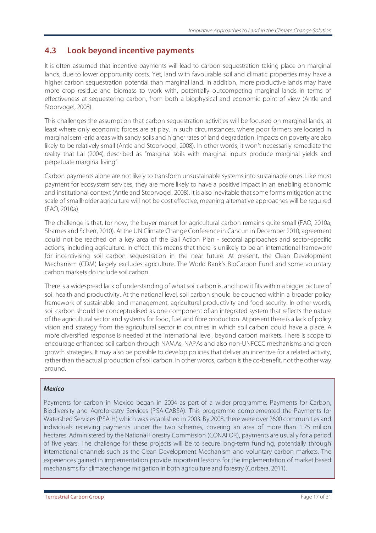### **4.3 Look beyond incentive payments**

It is often assumed that incentive payments will lead to carbon sequestration taking place on marginal lands, due to lower opportunity costs. Yet, land with favourable soil and climatic properties may have a higher carbon sequestration potential than marginal land. In addition, more productive lands may have more crop residue and biomass to work with, potentially outcompeting marginal lands in terms of effectiveness at sequestering carbon, from both a biophysical and economic point of view (Antle and Stoorvogel, 2008).

This challenges the assumption that carbon sequestration activities will be focused on marginal lands, at least where only economic forces are at play. In such circumstances, where poor farmers are located in marginal semi-arid areas with sandy soils and higher rates of land degradation, impacts on poverty are also likely to be relatively small (Antle and Stoorvogel, 2008). In other words, it won't necessarily remediate the reality that Lal (2004) described as "marginal soils with marginal inputs produce marginal yields and perpetuate marginal living".

Carbon payments alone are not likely to transform unsustainable systems into sustainable ones. Like most payment for ecosystem services, they are more likely to have a positive impact in an enabling economic and institutional context (Antle and Stoorvogel, 2008). It is also inevitable that some forms mitigation at the scale of smallholder agriculture will not be cost effective, meaning alternative approaches will be required (FAO, 2010a).

The challenge is that, for now, the buyer market for agricultural carbon remains quite small (FAO, 2010a; Shames and Scherr, 2010). At the UN Climate Change Conference in Cancun in December 2010, agreement could not be reached on a key area of the Bali Action Plan - sectoral approaches and sector-specific actions, including agriculture. In effect, this means that there is unlikely to be an international framework for incentivising soil carbon sequestration in the near future. At present, the Clean Development Mechanism (CDM) largely excludes agriculture. The World Bank's BioCarbon Fund and some voluntary carbon markets do include soil carbon.

There is a widespread lack of understanding of what soil carbon is, and how it fits within a bigger picture of soil health and productivity. At the national level, soil carbon should be couched within a broader policy framework of sustainable land management, agricultural productivity and food security. In other words, soil carbon should be conceptualised as one component of an integrated system that reflects the nature of the agricultural sector and systems for food, fuel and fibre production. At present there is a lack of policy vision and strategy from the agricultural sector in countries in which soil carbon could have a place. A more diversified response is needed at the international level, beyond carbon markets. There is scope to encourage enhanced soil carbon through NAMAs, NAPAs and also non-UNFCCC mechanisms and green growth strategies. It may also be possible to develop policies that deliver an incentive for a related activity, rather than the actual production of soil carbon. In other words, carbon is the co-benefit, not the other way around.

#### *Mexico*

Payments for carbon in Mexico began in 2004 as part of a wider programme: Payments for Carbon, Biodiversity and Agroforestry Services (PSA-CABSA). This programme complemented the Payments for Watershed Services (PSA-H) which was established in 2003. By 2008, there were over 2600 communities and individuals receiving payments under the two schemes, covering an area of more than 1.75 million hectares. Administered by the National Forestry Commission (CONAFOR), payments are usually for a period of five years. The challenge for these projects will be to secure long-term funding, potentially through international channels such as the Clean Development Mechanism and voluntary carbon markets. The experiences gained in implementation provide important lessons for the implementation of market based mechanisms for climate change mitigation in both agriculture and forestry (Corbera, 2011).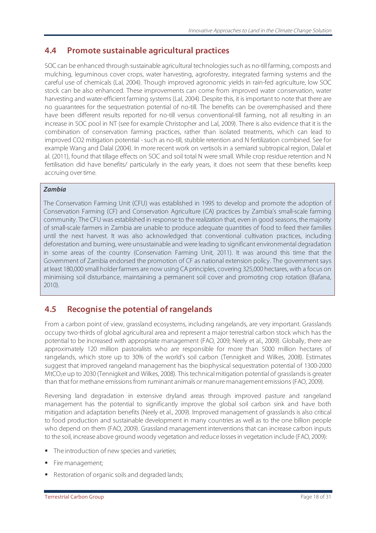## **4.4 Promote sustainable agricultural practices**

SOC can be enhanced through sustainable agricultural technologies such as no-till farming, composts and mulching, leguminous cover crops, water harvesting, agroforestry, integrated farming systems and the careful use of chemicals (Lal, 2004). Though improved agronomic yields in rain-fed agriculture, low SOC stock can be also enhanced. These improvements can come from improved water conservation, water harvesting and water-efficient farming systems (Lal, 2004). Despite this, it is important to note that there are no guarantees for the sequestration potential of no-till. The benefits can be overemphasised and there have been different results reported for no-till versus conventional-till farming, not all resulting in an increase in SOC pool in NT (see for example Christopher and Lal, 2009). There is also evidence that it is the combination of conservation farming practices, rather than isolated treatments, which can lead to improved CO2 mitigation potential - such as no-till, stubble retention and N fertilization combined. See for example Wang and Dalal (2004). In more recent work on vertisols in a semiarid subtropical region, Dalal et al. (2011), found that tillage effects on SOC and soil total N were small. While crop residue retention and N fertilisation did have benefits/ particularly in the early years, it does not seem that these benefits keep accruing over time.

#### *Zambia*

The Conservation Farming Unit (CFU) was established in 1995 to develop and promote the adoption of Conservation Farming (CF) and Conservation Agriculture (CA) practices by Zambia's small-scale farming community. The CFU was established in response to the realization that, even in good seasons, the majority of small-scale farmers in Zambia are unable to produce adequate quantities of food to feed their families until the next harvest. It was also acknowledged that conventional cultivation practices, including deforestation and burning, were unsustainable and were leading to significant environmental degradation in some areas of the country (Conservation Farming Unit, 2011). It was around this time that the Government of Zambia endorsed the promotion of CF as national extension policy. The government says at least 180,000 small holder farmers are now using CA principles, covering 325,000 hectares, with a focus on minimising soil disturbance, maintaining a permanent soil cover and promoting crop rotation (Bafana, 2010).

### **4.5 Recognise the potential of rangelands**

From a carbon point of view, grassland ecosystems, including rangelands, are very important. Grasslands occupy two-thirds of global agricultural area and represent a major terrestrial carbon stock which has the potential to be increased with appropriate management (FAO, 2009; Neely et al., 2009). Globally, there are approximately 120 million pastoralists who are responsible for more than 5000 million hectares of rangelands, which store up to 30% of the world's soil carbon (Tennigkeit and Wilkes, 2008). Estimates suggest that improved rangeland management has the biophysical sequestration potential of 1300-2000 MtCO<sub>2</sub>e up to 2030 (Tennigkeit and Wilkes, 2008). This technical mitigation potential of grasslands is greater than that for methane emissions from ruminant animals or manure management emissions (FAO, 2009).

Reversing land degradation in extensive dryland areas through improved pasture and rangeland management has the potential to significantly improve the global soil carbon sink and have both mitigation and adaptation benefits (Neely et al., 2009). Improved management of grasslands is also critical to food production and sustainable development in many countries as well as to the one billion people who depend on them (FAO, 2009). Grassland management interventions that can increase carbon inputs to the soil, increase above ground woody vegetation and reduce losses in vegetation include (FAO, 2009):

- The introduction of new species and varieties;
- Fire management;
- Restoration of organic soils and degraded lands;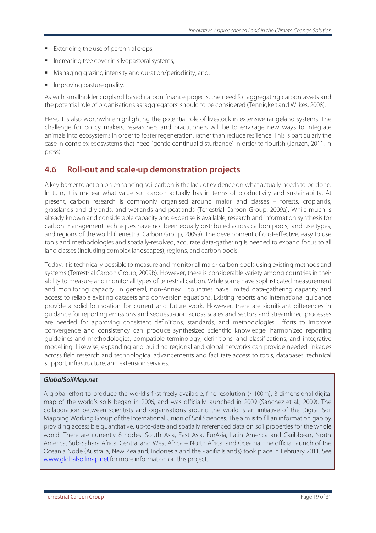- **Extending the use of perennial crops;**
- **Increasing tree cover in silvopastoral systems;**
- Managing grazing intensity and duration/periodicity; and,
- Improving pasture quality.

As with smallholder cropland based carbon finance projects, the need for aggregating carbon assets and the potential role of organisations as 'aggregators' should to be considered (Tennigkeit and Wilkes, 2008).

Here, it is also worthwhile highlighting the potential role of livestock in extensive rangeland systems. The challenge for policy makers, researchers and practitioners will be to envisage new ways to integrate animals into ecosystems in order to foster regeneration, rather than reduce resilience. This is particularly the case in complex ecosystems that need "gentle continual disturbance" in order to flourish (Janzen, 2011, in press).

#### **4.6 Roll-out and scale-up demonstration projects**

A key barrier to action on enhancing soil carbon is the lack of evidence on what actually needs to be done. In turn, it is unclear what value soil carbon actually has in terms of productivity and sustainability. At present, carbon research is commonly organised around major land classes – forests, croplands, grasslands and drylands, and wetlands and peatlands (Terrestrial Carbon Group, 2009a). While much is already known and considerable capacity and expertise is available, research and information synthesis for carbon management techniques have not been equally distributed across carbon pools, land use types, and regions of the world (Terrestrial Carbon Group, 2009a). The development of cost-effective, easy to use tools and methodologies and spatially-resolved, accurate data-gathering is needed to expand focus to all land classes (including complex landscapes), regions, and carbon pools.

Today, it is technically possible to measure and monitor all major carbon pools using existing methods and systems (Terrestrial Carbon Group, 2009b). However, there is considerable variety among countries in their ability to measure and monitor all types of terrestrial carbon. While some have sophisticated measurement and monitoring capacity, in general, non-Annex I countries have limited data-gathering capacity and access to reliable existing datasets and conversion equations. Existing reports and international guidance provide a solid foundation for current and future work. However, there are significant differences in guidance for reporting emissions and sequestration across scales and sectors and streamlined processes are needed for approving consistent definitions, standards, and methodologies. Efforts to improve convergence and consistency can produce synthesized scientific knowledge, harmonized reporting guidelines and methodologies, compatible terminology, definitions, and classifications, and integrative modelling. Likewise, expanding and building regional and global networks can provide needed linkages across field research and technological advancements and facilitate access to tools, databases, technical support, infrastructure, and extension services.

#### *GlobalSoilMap.net*

A global effort to produce the world's first freely-available, fine-resolution (~100m), 3-dimensional digital map of the world's soils began in 2006, and was officially launched in 2009 (Sanchez et al., 2009). The collaboration between scientists and organisations around the world is an initiative of the Digital Soil Mapping Working Group of the International Union of Soil Sciences. The aim is to fill an information gap by providing accessible quantitative, up-to-date and spatially referenced data on soil properties for the whole world. There are currently 8 nodes: South Asia, East Asia, EurAsia, Latin America and Caribbean, North America, Sub-Sahara Africa, Central and West Africa – North Africa, and Oceania. The official launch of the Oceania Node (Australia, New Zealand, Indonesia and the Pacific Islands) took place in February 2011. See www.globalsoilmap.net for more information on this project.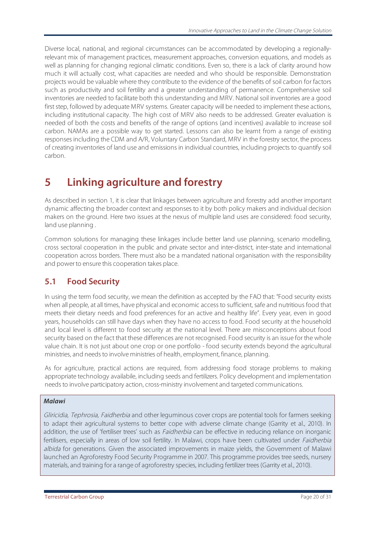Diverse local, national, and regional circumstances can be accommodated by developing a regionallyrelevant mix of management practices, measurement approaches, conversion equations, and models as well as planning for changing regional climatic conditions. Even so, there is a lack of clarity around how much it will actually cost, what capacities are needed and who should be responsible. Demonstration projects would be valuable where they contribute to the evidence of the benefits of soil carbon for factors such as productivity and soil fertility and a greater understanding of permanence. Comprehensive soil inventories are needed to facilitate both this understanding and MRV. National soil inventories are a good first step, followed by adequate MRV systems. Greater capacity will be needed to implement these actions, including institutional capacity. The high cost of MRV also needs to be addressed. Greater evaluation is needed of both the costs and benefits of the range of options (and incentives) available to increase soil carbon. NAMAs are a possible way to get started. Lessons can also be learnt from a range of existing responses including the CDM and A/R, Voluntary Carbon Standard, MRV in the forestry sector, the process of creating inventories of land use and emissions in individual countries, including projects to quantify soil carbon.

## **5 Linking agriculture and forestry**

As described in section 1, it is clear that linkages between agriculture and forestry add another important dynamic affecting the broader context and responses to it by both policy makers and individual decision makers on the ground. Here two issues at the nexus of multiple land uses are considered: food security, land use planning .

Common solutions for managing these linkages include better land use planning, scenario modelling, cross sectoral cooperation in the public and private sector and inter-district, inter-state and international cooperation across borders. There must also be a mandated national organisation with the responsibility and power to ensure this cooperation takes place.

## **5.1 Food Security**

In using the term food security, we mean the definition as accepted by the FAO that: "Food security exists when all people, at all times, have physical and economic access to sufficient, safe and nutritious food that meets their dietary needs and food preferences for an active and healthy life". Every year, even in good years, households can still have days when they have no access to food. Food security at the household and local level is different to food security at the national level. There are misconceptions about food security based on the fact that these differences are not recognised. Food security is an issue for the whole value chain. It is not just about one crop or one portfolio - food security extends beyond the agricultural ministries, and needs to involve ministries of health, employment, finance, planning.

As for agriculture, practical actions are required, from addressing food storage problems to making appropriate technology availabile, including seeds and fertilizers. Policy development and implementation needs to involve participatory action, cross-ministry involvement and targeted communications.

#### *Malawi*

Gliricidia, Tephrosia, Faidherbia and other leguminous cover crops are potential tools for farmers seeking to adapt their agricultural systems to better cope with adverse climate change (Garrity et al., 2010). In addition, the use of 'fertiliser trees' such as *Faidherbia* can be effective in reducing reliance on inorganic fertilisers, especially in areas of low soil fertility. In Malawi, crops have been cultivated under Faidherbia albida for generations. Given the associated improvements in maize yields, the Government of Malawi launched an Agroforestry Food Security Programme in 2007. This programme provides tree seeds, nursery materials, and training for a range of agroforestry species, including fertilizer trees (Garrity et al., 2010).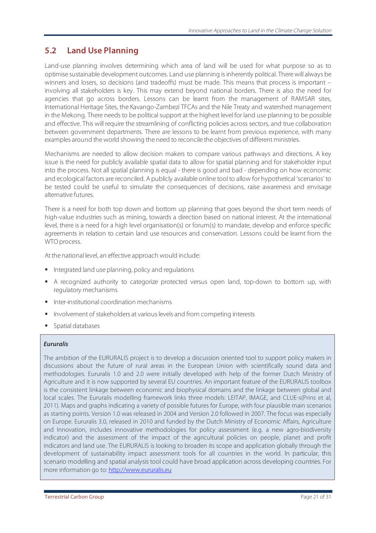### **5.2 Land Use Planning**

Land-use planning involves determining which area of land will be used for what purpose so as to optimise sustainable development outcomes. Land use planning is inherently political. There will always be winners and losers, so decisions (and tradeoffs) must be made. This means that process is important – involving all stakeholders is key. This may extend beyond national borders. There is also the need for agencies that go across borders. Lessons can be learnt from the management of RAMSAR sites, International Heritage Sites, the Kavango-Zambezi TFCAs and the Nile Treaty and watershed management in the Mekong. There needs to be political support at the highest level for land use planning to be possible and effective. This will require the streamlining of conflicting policies across sectors, and true collaboration between government departments. There are lessons to be learnt from previous experience, with many examples around the world showing the need to reconcile the objectives of different ministries.

Mechanisms are needed to allow decision makers to compare various pathways and directions. A key issue is the need for publicly available spatial data to allow for spatial planning and for stakeholder input into the process. Not all spatial planning is equal - there is good and bad - depending on how economic and ecological factors are reconciled. A publicly available online tool to allow for hypothetical 'scenarios' to be tested could be useful to simulate the consequences of decisions, raise awareness and envisage alternative futures.

There is a need for both top down and bottom up planning that goes beyond the short term needs of high-value industries such as mining, towards a direction based on national interest. At the international level, there is a need for a high level organisation(s) or forum(s) to mandate, develop and enforce specific agreements in relation to certain land use resources and conservation. Lessons could be learnt from the WTO process.

At the national level, an effective approach would include:

- Integrated land use planning, policy and regulations
- A recognized authority to categorize protected versus open land, top-down to bottom up, with regulatory mechanisms
- Inter-institutional coordination mechanisms
- Involvement of stakeholders at various levels and from competing interests
- Spatial databases

#### *Eururalis*

The ambition of the EURURALIS project is to develop a discussion oriented tool to support policy makers in discussions about the future of rural areas in the European Union with scientifically sound data and methodologies. Eururalis 1.0 and 2.0 were initially developed with help of the former Dutch Ministry of Agriculture and it is now supported by several EU countries. An important feature of the EURURALIS toolbox is the consistent linkage between economic and biophysical domains and the linkage between global and local scales. The Eururalis modelling framework links three models: LEITAP, IMAGE, and CLUE-s(Prins et al, 2011). Maps and graphs indicating a variety of possible futures for Europe, with four plausible main scenarios as starting points. Version 1.0 was released in 2004 and Version 2.0 followed in 2007. The focus was especially on Europe. Eururalis 3.0, released in 2010 and funded by the Dutch Ministry of Economic Affairs, Agriculture and Innovation, includes innovative methodologies for policy assessment (e.g. a new agro-biodiversity indicator) and the assessment of the impact of the agricultural policies on people, planet and profit indicators and land use. The EURURALIS is looking to broaden its scope and application globally through the development of sustainability impact assessment tools for all countries in the world. In particular, this scenario modelling and spatial analysis tool could have broad application across developing countries. For more information go to: http://www.eururalis.eu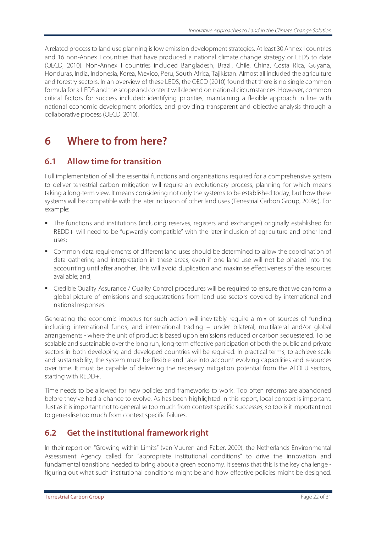A related process to land use planning is low emission development strategies. At least 30 Annex I countries and 16 non-Annex I countries that have produced a national climate change strategy or LEDS to date (OECD, 2010). Non-Annex I countries included Bangladesh, Brazil, Chile, China, Costa Rica, Guyana, Honduras, India, Indonesia, Korea, Mexico, Peru, South Africa, Tajikistan. Almost all included the agriculture and forestry sectors. In an overview of these LEDS, the OECD (2010) found that there is no single common formula for a LEDS and the scope and content will depend on national circumstances. However, common critical factors for success included: identifying priorities, maintaining a flexible approach in line with national economic development priorities, and providing transparent and objective analysis through a collaborative process(OECD, 2010).

## **6 Where to from here?**

## **6.1 Allow time for transition**

Full implementation of all the essential functions and organisations required for a comprehensive system to deliver terrestrial carbon mitigation will require an evolutionary process, planning for which means taking a long-term view. It means considering not only the systems to be established today, but how these systems will be compatible with the later inclusion of other land uses (Terrestrial Carbon Group, 2009c). For example:

- The functions and institutions (including reserves, registers and exchanges) originally established for REDD+ will need to be "upwardly compatible" with the later inclusion of agriculture and other land uses;
- Common data requirements of different land uses should be determined to allow the coordination of data gathering and interpretation in these areas, even if one land use will not be phased into the accounting until after another. This will avoid duplication and maximise effectiveness of the resources available; and,
- Credible Quality Assurance / Quality Control procedures will be required to ensure that we can form a global picture of emissions and sequestrations from land use sectors covered by international and national responses.

Generating the economic impetus for such action will inevitably require a mix of sources of funding including international funds, and international trading – under bilateral, multilateral and/or global arrangements - where the unit of product is based upon emissions reduced or carbon sequestered. To be scalable and sustainable over the long run, long-term effective participation of both the public and private sectors in both developing and developed countries will be required. In practical terms, to achieve scale and sustainability, the system must be flexible and take into account evolving capabilities and resources over time. It must be capable of delivering the necessary mitigation potential from the AFOLU sectors, starting with REDD+.

Time needs to be allowed for new policies and frameworks to work. Too often reforms are abandoned before they've had a chance to evolve. As has been highlighted in this report, local context is important. Just as it is important not to generalise too much from context specific successes, so too is it important not to generalise too much from context specific failures.

## **6.2 Get the institutional framework right**

In their report on "Growing within Limits" (van Vuuren and Faber, 2009), the Netherlands Environmental Assessment Agency called for "appropriate institutional conditions" to drive the innovation and fundamental transitions needed to bring about a green economy. It seems that this is the key challenge figuring out what such institutional conditions might be and how effective policies might be designed.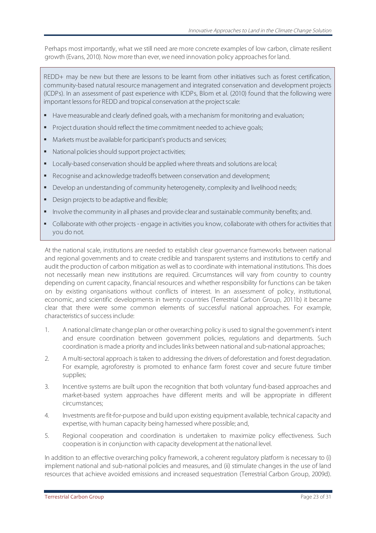Perhaps most importantly, what we still need are more concrete examples of low carbon, climate resilient growth (Evans, 2010). Now more than ever, we need innovation policy approaches for land.

REDD+ may be new but there are lessons to be learnt from other initiatives such as forest certification, community-based natural resource management and integrated conservation and development projects (ICDPs). In an assessment of past experience with ICDPs, Blom et al. (2010) found that the following were important lessons for REDD and tropical conservation at the project scale:

- Have measurable and clearly defined goals, with a mechanism for monitoring and evaluation;
- **Project duration should reflect the time commitment needed to achieve goals;**
- **Markets must be available for participant's products and services;**
- National policies should support project activities;
- Locally-based conservation should be applied where threats and solutions are local;
- Recognise and acknowledge tradeoffs between conservation and development;
- Develop an understanding of community heterogeneity, complexity and livelihood needs;
- Design projects to be adaptive and flexible;
- Involve the community in all phases and provide clear and sustainable community benefits; and.
- Collaborate with other projects engage in activities you know, collaborate with others for activities that you do not.

At the national scale, institutions are needed to establish clear governance frameworks between national and regional governments and to create credible and transparent systems and institutions to certify and audit the production of carbon mitigation as well as to coordinate with international institutions. This does not necessarily mean new institutions are required. Circumstances will vary from country to country depending on current capacity, financial resources and whether responsibility for functions can be taken on by existing organisations without conflicts of interest. In an assessment of policy, institutional, economic, and scientific developments in twenty countries (Terrestrial Carbon Group, 2011b) it became clear that there were some common elements of successful national approaches. For example, characteristics of success include:

- 1. A national climate change plan or other overarching policy is used to signal the government's intent and ensure coordination between government policies, regulations and departments. Such coordination is made a priority and includes links between national and sub-national approaches;
- 2. A multi-sectoral approach is taken to addressing the drivers of deforestation and forest degradation. For example, agroforestry is promoted to enhance farm forest cover and secure future timber supplies;
- 3. Incentive systems are built upon the recognition that both voluntary fund-based approaches and market-based system approaches have different merits and will be appropriate in different circumstances;
- 4. Investments are fit-for-purpose and build upon existing equipment available, technical capacity and expertise, with human capacity being harnessed where possible; and,
- 5. Regional cooperation and coordination is undertaken to maximize policy effectiveness. Such cooperation is in conjunction with capacity development at the national level.

In addition to an effective overarching policy framework, a coherent regulatory platform is necessary to (i) implement national and sub-national policies and measures, and (ii) stimulate changes in the use of land resources that achieve avoided emissions and increased sequestration (Terrestrial Carbon Group, 2009d).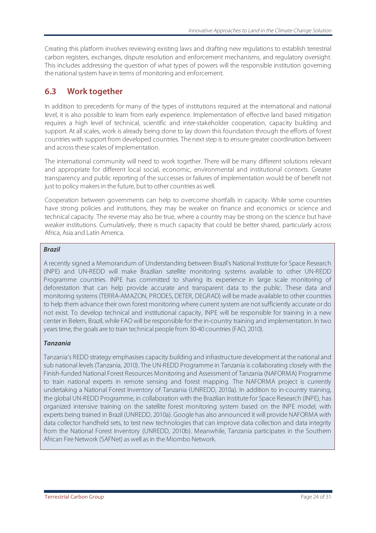Creating this platform involves reviewing existing laws and drafting new regulations to establish terrestrial carbon registers, exchanges, dispute resolution and enforcement mechanisms, and regulatory oversight. This includes addressing the question of what types of powers will the responsible institution governing the national system have in terms of monitoring and enforcement.

### **6.3 Work together**

In addition to precedents for many of the types of institutions required at the international and national level, it is also possible to learn from early experience. Implementation of effective land based mitigation requires a high level of technical, scientific and inter-stakeholder cooperation, capacity building and support. At all scales, work is already being done to lay down this foundation through the efforts of forest countries with support from developed countries. The next step is to ensure greater coordination between and across these scales of implementation.

The international community will need to work together. There will be many different solutions relevant and appropriate for different local social, economic, environmental and institutional contexts. Greater transparency and public reporting of the successes or failures of implementation would be of benefit not just to policy makers in the future, but to other countries as well.

Cooperation between governments can help to overcome shortfalls in capacity. While some countries have strong policies and institutions, they may be weaker on finance and economics or science and technical capacity. The reverse may also be true, where a country may be strong on the science but have weaker institutions. Cumulatively, there is much capacity that could be better shared, particularly across Africa, Asia and Latin America.

#### *Brazil*

A recently signed a Memorandum of Understanding between Brazil's National Institute for Space Research (INPE) and UN-REDD will make Brazilian satellite monitoring systems available to other UN-REDD Programme countries. INPE has committed to sharing its experience in large scale monitoring of deforestation that can help provide accurate and transparent data to the public. These data and monitoring systems (TERRA-AMAZON, PRODES, DETER, DEGRAD) will be made available to other countries to help them advance their own forest monitoring where current system are not sufficiently accurate or do not exist. To develop technical and institutional capacity, INPE will be responsible for training in a new center in Belem, Brazil, while FAO will be responsible for the in-country training and implementation. In two years time, the goals are to train technical people from 30-40 countries (FAO, 2010).

#### *Tanzania*

Tanzania's REDD strategy emphasises capacity building and infrastructure development at the national and sub national levels (Tanzania, 2010). The UN-REDD Programme in Tanzania is collaborating closely with the Finish-funded National Forest Resources Monitoring and Assessment of Tanzania (NAFORMA) Programme to train national experts in remote sensing and forest mapping. The NAFORMA project is currently undertaking a National Forest Inventory of Tanzania (UNREDD, 2010a). In addition to in-country training, the global UN-REDD Programme, in collaboration with the Brazilian Institute for Space Research (INPE), has organized intensive training on the satellite forest monitoring system based on the INPE model, with experts being trained in Brazil (UNREDD, 2010a). Google has also announced it will provide NAFORMA with data collector handheld sets, to test new technologies that can improve data collection and data integrity from the National Forest Inventory (UNREDD, 2010b). Meanwhile, Tanzania participates in the Southern African Fire Network (SAFNet) as well as in the Miombo Network.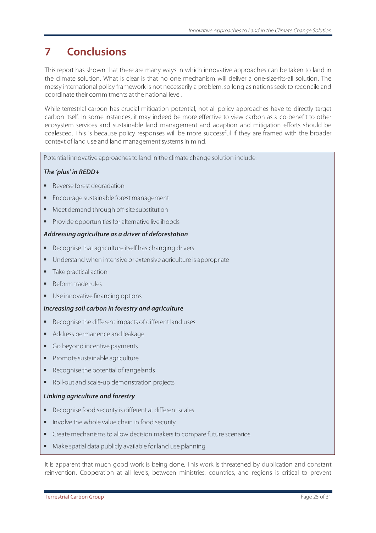## **7 Conclusions**

This report has shown that there are many ways in which innovative approaches can be taken to land in the climate solution. What is clear is that no one mechanism will deliver a one-size-fits-all solution. The messy international policy framework is not necessarily a problem, so long as nations seek to reconcile and coordinate their commitments at the national level.

While terrestrial carbon has crucial mitigation potential, not all policy approaches have to directly target carbon itself. In some instances, it may indeed be more effective to view carbon as a co-benefit to other ecosystem services and sustainable land management and adaption and mitigation efforts should be coalesced. This is because policy responses will be more successful if they are framed with the broader context of land use and land management systems in mind.

Potential innovative approaches to land in the climate change solution include:

#### *The 'plus' in REDD+*

- Reverse forest degradation
- **Encourage sustainable forest management**
- Meet demand through off-site substitution
- **Provide opportunities for alternative livelihoods**

#### *Addressing agriculture as a driver of deforestation*

- Recognise that agriculture itself has changing drivers
- Understand when intensive or extensive agriculture is appropriate
- Take practical action
- Reform trade rules
- Use innovative financing options

#### *Increasing soil carbon in forestry and agriculture*

- Recognise the different impacts of different land uses
- Address permanence and leakage
- Go beyond incentive payments
- **Promote sustainable agriculture**
- Recognise the potential of rangelands
- Roll-out and scale-up demonstration projects

#### *Linking agriculture and forestry*

- Recognise food security is different at different scales
- Involve the whole value chain in food security
- Create mechanisms to allow decision makers to compare future scenarios
- Make spatial data publicly available for land use planning

It is apparent that much good work is being done. This work is threatened by duplication and constant reinvention. Cooperation at all levels, between ministries, countries, and regions is critical to prevent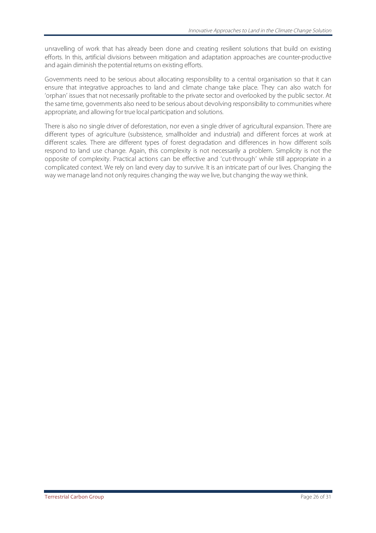unravelling of work that has already been done and creating resilient solutions that build on existing efforts. In this, artificial divisions between mitigation and adaptation approaches are counter-productive and again diminish the potential returns on existing efforts.

Governments need to be serious about allocating responsibility to a central organisation so that it can ensure that integrative approaches to land and climate change take place. They can also watch for 'orphan' issues that not necessarily profitable to the private sector and overlooked by the public sector. At the same time, governments also need to be serious about devolving responsibility to communities where appropriate, and allowing for true local participation and solutions.

There is also no single driver of deforestation, nor even a single driver of agricultural expansion. There are different types of agriculture (subsistence, smallholder and industrial) and different forces at work at different scales. There are different types of forest degradation and differences in how different soils respond to land use change. Again, this complexity is not necessarily a problem. Simplicity is not the opposite of complexity. Practical actions can be effective and 'cut-through' while still appropriate in a complicated context. We rely on land every day to survive. It is an intricate part of our lives. Changing the way we manage land not only requires changing the way we live, but changing the way we think.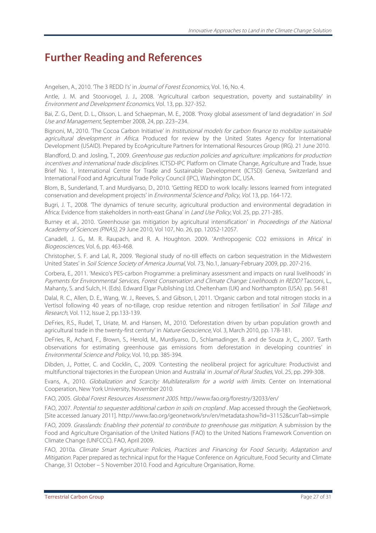## **Further Reading and References**

Angelsen, A., 2010. 'The 3 REDD I's' in *Journal of Forest Economics*, Vol. 16, No. 4.

Antle, J. M. and Stoorvogel, J. J., 2008. 'Agricultural carbon sequestration, poverty and sustainability' in Environment and Development Economics, Vol. 13, pp. 327-352.

Bai, Z. G., Dent, D. L., Olsson, L. and Schaepman, M. E., 2008. 'Proxy global assessment of land degradation' in Soil Use and Management, September 2008, 24, pp. 223–234.

Bignoni, M., 2010. The Cocoa Carbon Initiative' in Institutional models for carbon finance to mobilize sustainable agricultural development in Africa. Produced for review by the United States Agency for International Development (USAID). Prepared by EcoAgriculture Partners for International Resources Group (IRG). 21 June 2010.

Blandford, D. and Josling, T., 2009. Greenhouse gas reduction policies and agriculture: implications for production incentives and international trade disciplines. ICTSD-IPC Platform on Climate Change, Agriculture and Trade, Issue Brief No. 1, International Centre for Trade and Sustainable Development (ICTSD) Geneva, Switzerland and International Food and Agricultural Trade Policy Council (IPC), Washington DC, USA.

Blom, B., Sunderland, T. and Murdiyarso, D., 2010. 'Getting REDD to work locally: lessons learned from integrated conservation and development projects' in Environmental Science and Policy, Vol. 13, pp. 164-172.

Bugri, J. T., 2008. 'The dynamics of tenure security, agricultural production and environmental degradation in Africa: Evidence from stakeholders in north-east Ghana' in Land Use Policy, Vol. 25, pp. 271-285.

Burney et al., 2010. 'Greenhouse gas mitigation by agricultural intensification' in Proceedings of the National Academy of Sciences (PNAS), 29 June 2010, Vol 107, No. 26, pp. 12052-12057.

Canadell, J. G., M. R. Raupach, and R. A. Houghton. 2009. 'Anthropogenic CO2 emissions in Africa' in Biogeosciences, Vol. 6, pp. 463-468.

Christopher, S. F. and Lal, R., 2009. 'Regional study of no-till effects on carbon sequestration in the Midwestern United States' in Soil Science Society of America Journal, Vol. 73, No.1, January-February 2009, pp. 207-216.

Corbera, E., 2011. 'Mexico's PES-carbon Programme: a preliminary assessment and impacts on rural livelihoods' in Payments for Environmental Services, Forest Conservation and Climate Change: Livelihoods in REDD? Tacconi, L., Mahanty, S. and Sulch, H. (Eds). Edward Elgar Publishing Ltd. Cheltenham (UK) and Northampton (USA). pp. 54-81

Dalal, R. C., Allen, D. E., Wang, W. J., Reeves, S. and Gibson, I, 2011. 'Organic carbon and total nitrogen stocks in a Vertisol following 40 years of no-tillage, crop residue retention and nitrogen fertilisation' in Soil Tillage and Research, Vol. 112, Issue 2, pp.133-139.

DeFries, R.S., Rudel, T., Uriate, M. and Hansen, M., 2010. 'Deforestation driven by urban population growth and agricultural trade in the twenty-first century' in Nature Geoscience, Vol. 3, March 2010, pp. 178-181.

DeFries, R., Achard, F., Brown, S., Herold, M., Murdiyarso, D., Schlamadinger, B. and de Souza Jr, C., 2007. 'Earth observations for estimating greenhouse gas emissions from deforestation in developing countries' in Environmental Science and Policy, Vol. 10, pp. 385-394.

Dibden, J., Potter, C. and Cocklin, C., 2009. 'Contesting the neoliberal project for agriculture: Productivist and multifunctional trajectories in the European Union and Australia' in Journal of Rural Studies, Vol. 25, pp. 299-308.

Evans, A., 2010. Globalization and Scarcity: Multilateralism for a world with limits. Center on International Cooperation, New York University, November 2010.

FAO, 2005. Global Forest Resources Assessment 2005. http://www.fao.org/forestry/32033/en/

FAO, 2007. Potential to sequester additional carbon in soils on cropland. Map accessed through the GeoNetwork. [Site accessed January 2011]. http://www.fao.org/geonetwork/srv/en/metadata.show?id=31152&currTab=simple

FAO, 2009. Grasslands: Enabling their potential to contribute to greenhouse gas mitigation. A submission by the Food and Agriculture Organisation of the United Nations (FAO) to the United Nations Framework Convention on Climate Change (UNFCCC). FAO, April 2009.

FAO, 2010a. Climate Smart Agriculture: Policies, Practices and Financing for Food Security, Adaptation and Mitigation. Paper prepared as technical input for the Hague Conference on Agriculture, Food Security and Climate Change, 31 October – 5 November 2010. Food and Agriculture Organisation, Rome.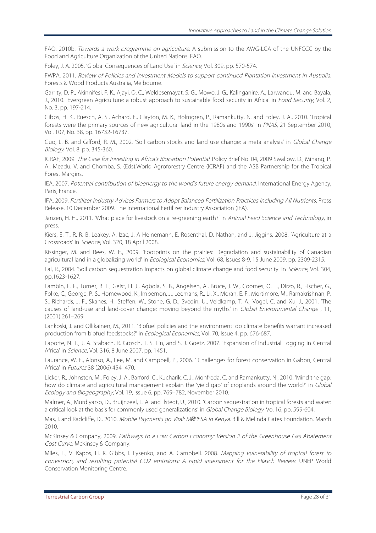FAO, 2010b. Towards a work programme on agriculture. A submission to the AWG-LCA of the UNFCCC by the Food and Agriculture Organization of the United Nations. FAO.

Foley, J. A. 2005. 'Global Consequences of Land Use' in Science, Vol. 309, pp. 570-574.

FWPA, 2011. Review of Policies and Investment Models to support continued Plantation Investment in Australia. Forests & Wood Products Australia, Melbourne.

Garrity, D. P., Akinnifesi, F. K., Ajayi, O. C., Weldesemayat, S. G., Mowo, J. G., Kalinganire, A., Larwanou, M. and Bayala, J., 2010. 'Evergreen Agriculture: a robust approach to sustainable food security in Africa' in Food Security, Vol. 2, No. 3, pp. 197-214.

Gibbs, H. K., Ruesch, A. S., Achard, F., Clayton, M. K., Holmgren, P., Ramankutty, N. and Foley, J. A., 2010. 'Tropical forests were the primary sources of new agricultural land in the 1980s and 1990s' in PNAS, 21 September 2010, Vol. 107, No. 38, pp. 16732-16737.

Guo, L. B. and Gifford, R. M., 2002. 'Soil carbon stocks and land use change: a meta analysis' in Global Change Biology, Vol. 8, pp. 345-360.

ICRAF, 2009. The Case for Investing in Africa's Biocarbon Potential. Policy Brief No. 04, 2009 Swallow, D., Minang, P. A., Meadu, V. and Chomba, S. (Eds).World Agroforestry Centre (ICRAF) and the ASB Partnership for the Tropical Forest Margins.

IEA, 2007. Potential contribution of bioenergy to the world's future energy demand. International Energy Agency, Paris, France.

IFA, 2009. Fertilizer Industry Advises Farmers to Adopt Balanced Fertilization Practices Including All Nutrients. Press Release. 10 December 2009. The International Fertilizer Industry Association (IFA).

Janzen, H. H., 2011. 'What place for livestock on a re-greening earth?' in Animal Feed Science and Technology, in press.

Kiers, E. T., R. R. B. Leakey, A. Izac, J. A Heinemann, E. Rosenthal, D. Nathan, and J. Jiggins. 2008. 'Agriculture at a Crossroads' in Science, Vol. 320, 18 April 2008.

Kissinger, M. and Rees, W. E., 2009. 'Footprints on the prairies: Degradation and sustainability of Canadian agricultural land in a globalizing world' in Ecological Economics, Vol. 68, Issues 8-9, 15 June 2009, pp. 2309-2315.

Lal, R., 2004. 'Soil carbon sequestration impacts on global climate change and food security' in Science, Vol. 304, pp.1623-1627.

Lambin, E. F., Turner, B. L., Geist, H. J., Agbola, S. B., Angelsen, A., Bruce, J. W., Coomes, O. T., Dirzo, R., Fischer, G., Folke, C., George, P. S., Homewood, K., Imbernon, J., Leemans, R., Li, X., Moran, E. F., Mortimore, M., Ramakrishnan, P. S., Richards, J. F., Skanes, H., Steffen, W., Stone, G. D., Svedin, U., Veldkamp, T. A., Vogel, C. and Xu, J., 2001. 'The causes of land-use and land-cover change: moving beyond the myths' in Global Environmental Change, 11, (2001) 261–269

Lankoski, J. and Ollikainen, M., 2011. 'Biofuel policies and the environment: do climate benefits warrant increased production from biofuel feedstocks?' in Ecological Economics, Vol. 70, Issue 4, pp. 676-687.

Laporte, N. T., J. A. Stabach, R. Grosch, T. S. Lin, and S. J. Goetz. 2007. 'Expansion of Industrial Logging in Central Africa' in Science, Vol. 316, 8 June 2007, pp. 1451.

Laurance, W. F., Alonso, A., Lee, M. and Campbell, P., 2006. ' Challenges for forest conservation in Gabon, Central Africa' in Futures 38 (2006) 454–470.

Licker, R., Johnston, M., Foley, J. A., Barford, C., Kucharik, C. J., Monfreda, C. and Ramankutty, N., 2010. 'Mind the gap: how do climate and agricultural management explain the 'yield gap' of croplands around the world?' in Global Ecology and Biogeography, Vol. 19, Issue 6, pp. 769–782, November 2010.

Malmer, A., Murdiyarso, D., Bruijnzeel, L. A. and Ilstedt, U., 2010. 'Carbon sequestration in tropical forests and water: a critical look at the basis for commonly used generalizations' in Global Change Biology, Vo. 16, pp. 599-604.

Mas, I. and Radcliffe, D., 2010. Mobile Payments go Viral: M PESA in Kenya. Bill & Melinda Gates Foundation. March 2010.

McKinsey & Company, 2009. Pathways to a Low Carbon Economy: Version 2 of the Greenhouse Gas Abatement Cost Curve. McKinsey & Company.

Miles, L., V. Kapos, H. K. Gibbs, I. Lysenko, and A. Campbell. 2008. Mapping vulnerability of tropical forest to conversion, and resulting potential CO2 emissions: A rapid assessment for the Eliasch Review. UNEP World Conservation Monitoring Centre.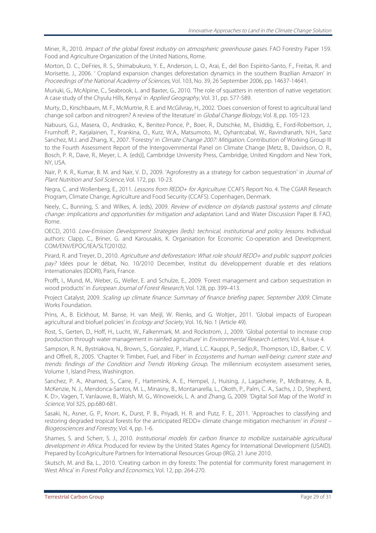Miner, R., 2010. Impact of the global forest industry on atmospheric greenhouse gases. FAO Forestry Paper 159. Food and Agriculture Organization of the United Nations, Rome.

Morton, D. C., DeFries, R. S., Shimabukuro, Y. E., Anderson, L. O., Arai, E., del Bon Espirito-Santo, F., Freitas, R. and Morisette, J., 2006. ' Cropland expansion changes deforestation dynamics in the southern Brazilian Amazon' in Proceedings of the National Academy of Sciences, Vol. 103, No. 39, 26 September 2006, pp. 14637-14641.

Muriuki, G., McAlpine, C., Seabrook, L. and Baxter, G., 2010. The role of squatters in retention of native vegetation: A case study of the Chyulu Hills, Kenya' in Applied Geography, Vol. 31, pp. 577-589.

Murty, D., Kirschbaum, M. F., McMurtrie, R. E. and McGilvray, H., 2002. 'Does conversion of forest to agricultural land change soil carbon and nitrogren? A review of the literature' in Global Change Biology, Vol. 8, pp. 105-123.

Nabuurs, G.J., Masera, O., Andrasko, K., Benitez-Ponce, P., Boer, R., Dutschke, M., Elsiddig, E., Ford-Robertson, J., Frumhoff, P., Karjalainen, T., Krankina, O., Kurz, W.A., Matsumoto, M., Oyhantcabal, W., Ravindranath, N.H., Sanz Sanchez, M.J. and Zhang, X., 2007. 'Forestry' in *Climate Change 2007: Mitigation*. Contribution of Working Group III to the Fourth Assessment Report of the Intergovernmental Panel on Climate Change [Metz, B., Davidson, O. R., Bosch, P. R., Dave, R., Meyer, L. A. (eds)], Cambridge University Press, Cambridge, United Kingdom and New York, NY, USA.

Nair, P. K. R., Kumar, B. M. and Nair, V. D., 2009. 'Agroforestry as a strategy for carbon sequestration' in Journal of Plant Nutrition and Soil Science, Vol. 172, pp. 10-23.

Negra, C. and Wollenberg, E., 2011. Lessons from REDD+ for Agriculture. CCAFS Report No. 4. The CGIAR Research Program, Climate Change, Agriculture and Food Security (CCAFS). Copenhagen, Denmark.

Neely, C., Bunning, S. and Wilkes, A. (eds), 2009. Review of evidence on drylands pastoral systems and climate change: implications and opportunities for mitigation and adaptation. Land and Water Discussion Paper 8. FAO, Rome.

OECD, 2010. Low-Emission Development Strategies (leds): technical, institutional and policy lessons. Individual authors: Clapp, C., Briner, G. and Karousakis, K. Organisation for Economic Co-operation and Development. COM/ENV/EPOC/IEA/SLT(2010)2.

Pirard, R. and Treyer, D., 2010. Agriculture and deforestation: What role should REDD+ and public support policies pay? Idées pour le débat, No. 10/2010 December, Institut du développement durable et des relations internationales (IDDRI), Paris, France.

Profft, I., Mund, M., Weber, G., Weller, E. and Schulze, E., 2009. 'Forest management and carbon sequestration in wood products' in European Journal of Forest Research, Vol. 128, pp. 399–413.

Project Catalyst, 2009. Scaling up climate finance: Summary of finance briefing paper, September 2009. Climate Works Foundation.

Prins, A., B. Eickhout, M. Banse, H. van Meijl, W. Rienks, and G. Woltjer., 2011. 'Global impacts of European agricultural and biofuel policies' in *Ecology and Society*, Vol. 16, No. 1 (Article 49).

Rost, S., Gerten, D., Hoff, H., Lucht, W., Falkenmark, M. and Rockstrom, J., 2009. 'Global potential to increase crop production through water management in rainfed agriculture' in *Environmental Research Letters*, Vol. 4, Issue 4,

Sampson, R. N., Bystriakova, N., Brown, S., Gonzalez, P., Irland, L.C. Kauppi, P., Sedjo,R., Thompson, I.D., Barber, C. V. and Offrell, R., 2005. 'Chapter 9: Timber, Fuel, and Fiber' in Ecosystems and human well-being: current state and trends: findings of the Condition and Trends Working Group. The millennium ecosystem assessment series, Volume 1, Island Press, Washington.

Sanchez, P. A., Ahamed, S., Carre, F., Hartemink, A. E., Hempel, J., Huising, J., Lagacherie, P., McBratney, A. B., McKenzie, N. J., Mendonca-Santos, M. L., Minasny, B., Montanarella, L., Okoth, P., Palm, C. A., Sachs, J. D., Shepherd, K. D>, Vagen, T, Vanlauwe, B., Walsh, M. G., Winoweicki, L. A. and Zhang, G, 2009. 'Digital Soil Map of the World' in Science, Vol 325, pp.680-681.

Sasaki, N., Asner, G. P., Knorr, K., Durst, P. B., Priyadi, H. R. and Putz, F. E., 2011. 'Approaches to classifying and restoring degraded tropical forests for the anticipated REDD+ climate change mitigation mechanism' in *iForest* – Biogeosciences and Forestry, Vol. 4, pp. 1-6.

Shames, S. and Scherr, S. J., 2010. Institutional models for carbon finance to mobilize sustainable agricultural development in Africa. Produced for review by the United States Agency for International Development (USAID). Prepared by EcoAgriculture Partners for International Resources Group (IRG). 21 June 2010.

Skutsch, M. and Ba, L., 2010. 'Creating carbon in dry forests: The potential for community forest management in West Africa' in Forest Policy and Economics, Vol. 12, pp. 264-270.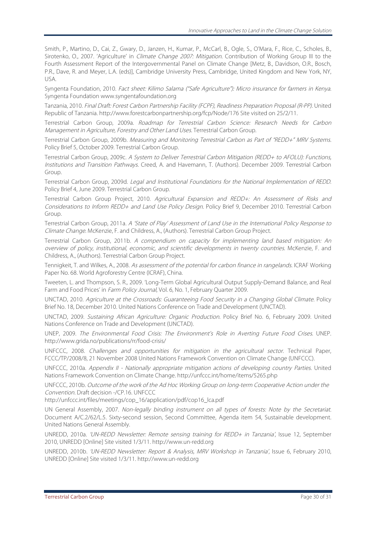Smith, P., Martino, D., Cai, Z., Gwary, D., Janzen, H., Kumar, P., McCarl, B., Ogle, S., O'Mara, F., Rice, C., Scholes, B., Sirotenko, O., 2007. 'Agriculture' in Climate Change 2007: Mitigation. Contribution of Working Group III to the Fourth Assessment Report of the Intergovernmental Panel on Climate Change [Metz, B., Davidson, O.R., Bosch, P.R., Dave, R. and Meyer, L.A. (eds)], Cambridge University Press, Cambridge, United Kingdom and New York, NY, USA.

Syngenta Foundation, 2010. Fact sheet: Kilimo Salama ("Safe Agriculture"): Micro insurance for farmers in Kenya. Syngenta Foundation www.syngentafoundation.org

Tanzania, 2010. Final Draft: Forest Carbon Partnership Facility (FCPF), Readiness Preparation Proposal (R-PP). United Republic of Tanzania. http://www.forestcarbonpartnership.org/fcp/Node/176 Site visited on 25/2/11.

Terrestrial Carbon Group, 2009a. Roadmap for Terrestrial Carbon Science: Research Needs for Carbon Management in Agriculture, Forestry and Other Land Uses. Terrestrial Carbon Group.

Terrestrial Carbon Group, 2009b. Measuring and Monitoring Terrestrial Carbon as Part of "REDD+" MRV Systems. Policy Brief 5, October 2009. Terrestrial Carbon Group.

Terrestrial Carbon Group, 2009c. A System to Deliver Terrestrial Carbon Mitigation (REDD+ to AFOLU): Functions, Institutions and Transition Pathways. Creed, A. and Havemann, T. (Authors). December 2009. Terrestrial Carbon Group.

Terrestrial Carbon Group, 2009d. Legal and Institutional Foundations for the National Implementation of REDD. Policy Brief 4, June 2009. Terrestrial Carbon Group.

Terrestrial Carbon Group Project, 2010. Agricultural Expansion and REDD+: An Assessment of Risks and Considerations to Inform REDD+ and Land Use Policy Design. Policy Brief 9, December 2010. Terrestrial Carbon Group.

Terrestrial Carbon Group, 2011a. A 'State of Play' Assessment of Land Use in the International Policy Response to Climate Change. McKenzie, F. and Childress, A., (Authors). Terrestrial Carbon Group Project.

Terrestrial Carbon Group, 2011b. A compendium on capacity for implementing land based mitigation: An overview of policy, institutional, economic, and scientific developments in twenty countries. McKenzie, F. and Childress, A., (Authors). Terrestrial Carbon Group Project.

Tennigkeit, T. and Wilkes, A., 2008. As assessment of the potential for carbon finance in rangelands. ICRAF Working Paper No. 68. World Agroforestry Centre (ICRAF), China.

Tweeten, L. and Thompson, S. R., 2009. 'Long-Term Global Agricultural Output Supply-Demand Balance, and Real Farm and Food Prices' in Farm Policy Journal, Vol. 6, No. 1, February Quarter 2009.

UNCTAD, 2010. Agriculture at the Crossroads: Guaranteeing Food Security in a Changing Global Climate. Policy Brief No. 18, December 2010. United Nations Conference on Trade and Development (UNCTAD).

UNCTAD, 2009. Sustaining African Agriculture: Organic Production. Policy Brief No. 6, February 2009. United Nations Conference on Trade and Development (UNCTAD).

UNEP, 2009. The Environmental Food Crisis: The Environment's Role in Averting Future Food Crises. UNEP. http://www.grida.no/publications/rr/food-crisis/

UNFCCC, 2008. Challenges and opportunities for mitigation in the agricultural sector. Technical Paper, FCCC/TP/2008/8, 21 November 2008 United Nations Framework Convention on Climate Change (UNFCCC).

UNFCCC, 2010a. Appendix II - Nationally appropriate mitigation actions of developing country Parties. United Nations Framework Convention on Climate Change. http://unfccc.int/home/items/5265.php

UNFCCC, 2010b. Outcome of the work of the Ad Hoc Working Group on long-term Cooperative Action under the Convention. Draft decision -/CP.16. UNFCCC

http://unfccc.int/files/meetings/cop\_16/application/pdf/cop16\_lca.pdf

UN General Assembly, 2007. Non-legally binding instrument on all types of forests: Note by the Secretariat. Document A/C.2/62/L.5. Sixty-second session, Second Committee, Agenda item 54, Sustainable development. United Nations General Assembly.

UNREDD, 2010a. 'UN-REDD Newsletter: Remote sensing training for REDD+ in Tanzania', Issue 12, September 2010, UNREDD [Online] Site visited 1/3/11. http://www.un-redd.org

UNREDD, 2010b. 'UN-REDD Newsletter: Report & Analysis, MRV Workshop in Tanzania', Issue 6, February 2010, UNREDD [Online] Site visited 1/3/11. http://www.un-redd.org